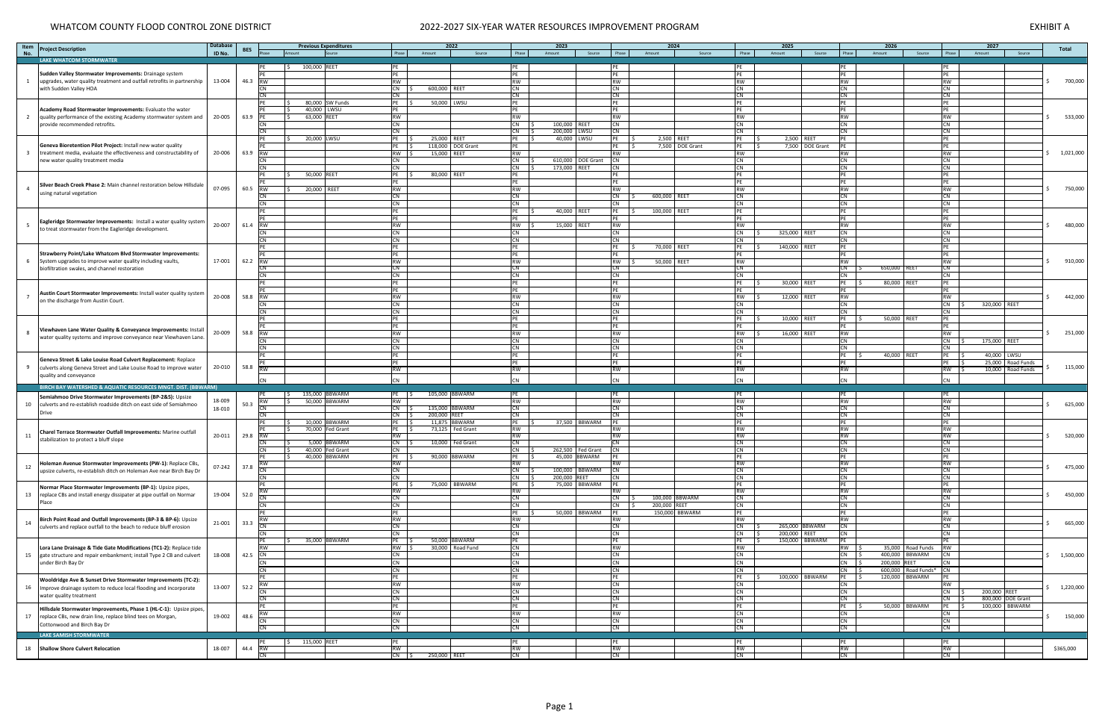# WHATCOM COUNTY FLOOD CONTROL ZONE DISTRICT 2022-2027 SIX-YEAR WATER RESOURCES IMPROVEMENT PROGRAM 2022-2027 SIX-YEAR WATER RESOURCES IMPROVEMENT PROGRAM

| Phase<br><b>LAKE WHATCOM STORMWATER</b><br>100,000 REET<br><b>PE</b><br>PE<br>PE<br><b>PE</b><br>PE<br>PE<br>١¢<br>Sudden Valley Stormwater Improvements: Drainage system<br>PE<br>PE<br>PE<br>PE<br>PE<br>PF<br>13-004<br>46.3<br>700,000<br>$\overline{1}$<br>upgrades, water quality treatment and outfall retrofits in partnership<br><b>RW</b><br><b>RW</b><br><b>RW</b><br><b>RW</b><br><b>RW</b><br><b>RW</b><br><b>RW</b><br><b>CN</b><br><b>CN</b><br>with Sudden Valley HOA<br>CN IS<br>600,000 REET<br><b>CN</b><br><b>CN</b><br><b>CN</b><br>CN<br>CN<br>CN<br>CN<br>CN<br>CN<br>CN<br>CN<br>80,000 SW Funds<br>50,000 LWSU<br>PE<br>PE<br>PE<br>PE IS<br>PE<br>PE<br>PF<br>Academy Road Stormwater Improvements: Evaluate the water<br>40,000 LWSU<br>PE<br>PE<br>PE<br>PE<br>PF<br>20-005<br>63.9<br><b>RW</b><br>533,000<br>$\overline{2}$<br>quality performance of the existing Academy stormwater system and<br>63,000 REET<br>RW<br><b>RW</b><br><b>RW</b><br><b>RW</b><br><b>RW</b><br>PF<br><b>CN</b><br>CN<br><b>CN</b><br><b>CN</b><br>100,000 REET<br><b>CN</b><br>CN<br>CN<br>provide recommended retrofits.<br>C <sub>N</sub><br><b>CN</b><br><b>CN</b><br><b>CN</b><br>200,000 LWSU<br><b>CN</b><br><b>CN</b><br>CN<br>20,000 LWSU<br>25,000 REET<br><b>DF</b><br>40,000 LWSU<br>PE<br>2,500 REET<br>PE<br>2,500 REET<br>PE<br>PE<br>Geneva Bioretention Pilot Project: Install new water quality<br>118,000   DOE Grant<br>7,500 DOE Grant<br>7,500<br><b>DOE Grant</b><br>$PE$ $\frac{1}{5}$<br>PE<br>PE<br>PE IS<br>PE<br>PE<br>20-006<br>63.9<br><b>RW</b><br><b>RW</b><br><b>RW</b><br><b>RW</b><br>1,021,000<br>$\overline{3}$<br>treatment media, evaluate the effectiveness and constructability of<br><b>RW</b><br>RW S<br>15,000 REET<br><b>RW</b><br><b>CN</b><br>610,000   DOE Grant<br><b>CN</b><br><b>CN</b><br><b>CN</b><br>new water quality treatment media<br>CN<br>CN .<br><b>CN</b><br><b>CN</b><br><b>CN</b><br>CN<br>173,000 REET<br><b>CN</b><br><b>CN</b><br><b>CN</b><br>CN<br>50,000 REET<br>80,000 REET<br>PF<br>PE<br>PE<br>PE<br>PF<br>PE<br>PE<br>PE<br>PE<br>PE<br>PF<br>Silver Beach Creek Phase 2: Main channel restoration below Hillsdale<br><b>RW</b><br>$\overline{a}$<br>60.5<br><b>RW</b><br>RW<br><b>RW</b><br><b>RW</b><br><b>RW</b><br>750,000<br>07-095<br>20,000 REET<br><b>RW</b><br>l S<br>using natural vegetation<br>CN<br><b>CN</b><br>CN<br><b>CN</b><br><b>CN</b><br><b>CN</b><br>CN.<br>600,000 REET<br><b>CN</b><br><b>CN</b><br><b>CN</b><br><b>CN</b><br><b>CN</b><br><b>CN</b><br><b>CN</b><br>40,000 REET<br>PE<br>PE<br>PE<br>PE<br>100,000 REET<br>PE<br>PE<br>PE<br>PE<br>PE<br>PE<br>PE<br>PF<br>Eagleridge Stormwater Improvements: Install a water quality system<br>20-007<br>61.4<br><b>RW</b><br><b>RW</b><br><b>RW</b><br>480,000<br>RW<br>15,000 REET<br><b>RW</b><br><b>RW</b><br><b>RW</b><br>to treat stormwater from the Eagleridge development.<br><b>CN</b><br><b>CN</b><br>CN<br><b>CN</b><br>325,000 REET<br><b>CN</b><br>CN<br>CN<br><b>CN</b><br><b>CN</b><br><b>CN</b><br>CN<br><b>CN</b><br><b>CN</b><br><b>CN</b><br>70,000 REET<br>140,000 REET<br>PE<br>PE<br>$PE$ $\frac{1}{2}$<br>PE<br>PE<br>PE<br>Strawberry Point/Lake Whatcom Blvd Stormwater Improvements:<br>PE<br>PF<br>PE<br>PF<br>PE<br>PF<br>17-001<br>62.2<br><b>RW</b><br>910,000<br>System upgrades to improve water quality including vaults,<br><b>RW</b><br>RW<br><b>RW</b><br>- 6<br><b>RW</b><br>50,000 REET<br><b>RW</b><br><b>RW</b><br>CN<br>$\overline{\text{CN}}$<br>$\overline{\mathsf{CN}}$<br>CN<br>$\overline{\mathsf{CN}}$<br>CN<br>650,000 REET<br>C <sub>N</sub><br>biofiltration swales, and channel restoration<br><b>CN</b><br><b>CN</b><br><b>CN</b><br>CN<br><b>CN</b><br>CN<br><b>CN</b><br>30,000 REET<br>80,000 REET<br>PE<br>PE<br>PE<br><b>PE</b><br>PE<br>PF<br>PE<br>S.<br>I S<br>PE<br>PE<br>PE<br>PE<br>PE<br>PE<br>Austin Court Stormwater Improvements: Install water quality system<br>442,000<br>20-008<br>58.8<br>RW<br><b>RW</b><br><b>RW</b><br><b>RW</b><br><b>RW</b><br><b>RW</b><br><b>RW</b><br>12,000 REET<br>on the discharge from Austin Court.<br>CN<br><b>CN</b><br><b>CN</b><br><b>CN</b><br><b>CN</b><br>320,000 REET<br>CN<br>CN<br><b>CN</b><br><b>CN</b><br><b>CN</b><br><b>CN</b><br><b>CN</b><br><b>CN</b><br><b>CN</b><br>10,000 REET<br>50,000 REET<br>PE<br>$PE$   \$<br>PE<br>PE<br><b>PE</b><br>PE<br>PF<br><b>PE</b><br>PF<br>PF<br>PE<br>PE<br>Viewhaven Lane Water Quality & Conveyance Improvements: Install<br><b>RW</b><br>20-009<br>58.8<br>RW<br><b>RW</b><br><b>RW</b><br>251,000<br><b>RW</b><br><b>RW</b><br>16,000 REET<br><b>RW</b><br>water quality systems and improve conveyance near Viewhaven Lane<br>CN<br><b>CN</b><br><b>CN</b><br><b>CN</b><br><b>CN</b><br><b>CN</b><br><b>CN</b><br>175,000 REET<br><b>CN</b><br><b>CN</b><br><b>CN</b><br><b>CN</b><br><b>CN</b><br><b>CN</b><br><b>CN</b><br>PE<br>PE<br><b>PE</b><br>PE<br>40,000 REET<br>$PE$ $ $ \$<br>40,000 LWSU<br>PE<br>PF<br>Geneva Street & Lake Louise Road Culvert Replacement: Replace<br>PE<br>PE<br>PE<br>PF<br>PE<br>PE<br>25,000<br>Road Funds<br>115,000<br>58.8<br>-9<br>20-010<br>culverts along Geneva Street and Lake Louise Road to improve water<br>RW<br><b>RW</b><br>RW<br><b>RW</b><br><b>RW</b><br><b>RW</b><br>10,000<br>Road Funds<br><b>RW</b><br>quality and conveyance<br><b>CN</b><br><b>CN</b><br><b>CN</b><br><b>CN</b><br><b>CN</b><br><b>CN</b><br>CN<br>BIRCH BAY WATERSHED & AQUATIC RESOURCES MNGT. DIST. (BBWARM)<br>135,000 BBWARM<br>105,000 BBWARM<br>PE<br>PE<br>PE<br>PE<br>PE S<br>PE<br>l S<br>Semiahmoo Drive Stormwater Improvements (BP-2&5): Upsize<br>18-009<br><b>RW</b><br><b>RW</b><br><b>RW</b><br><b>RW</b><br>50,000 BBWARM<br><b>RW</b><br><b>RW</b><br>RW<br>50.3<br>625,000<br>10<br>culverts and re-establish roadside ditch on east side of Semiahmoo<br>CN<br>135,000 BBWARM<br><b>CN</b><br>CN<br>18-010<br><b>CN</b><br>$CN$ $\frac{1}{5}$<br><b>CN</b><br><b>CN</b><br>Drive<br>200,000 REET<br>CN<br><b>CN</b><br><b>CN</b><br><b>CN</b><br>CN<br>$CN$ $\vert$ \$<br><b>CN</b><br>10,000 BBWARM<br>11,875 BBWARM<br>37,500 BBWARM<br>PE<br>PE<br>PE<br>PE<br>70,000 Fed Grant<br>73,125   Fed Grant<br><b>RW</b><br><b>RW</b><br><b>RW</b><br><b>RW</b><br>PE IS<br>RW<br>Charel Terrace Stormwater Outfall Improvements: Marine outfall<br>29.8<br>RW<br>520,000<br>11<br>20-011<br><b>RW</b><br><b>RW</b><br><b>RW</b><br>RW<br><b>RW</b><br>RW<br>stabilization to protect a bluff slope<br>CN<br><b>CN</b><br>CN<br>5,000 BBWARM<br><b>CN</b><br>10,000   Fed Grant<br><b>CN</b><br><b>CN</b><br>CN<br>CN<br><b>CN</b><br><b>CN</b><br>40,000 Fed Grant<br><b>CNL</b><br>262,500   Fed Grant<br><b>CN</b><br><b>CN</b><br>CN<br>40,000 BBWARM<br>90,000 BBWARM<br>45,000 BBWARM<br><b>PE</b><br>PE<br><b>PE</b><br>PE IS<br>PE<br>$\sqrt{2}$<br>Holeman Avenue Stormwater Improvements (PW-1): Replace CBs,<br><b>RW</b><br>RW<br><b>RW</b><br><b>RW</b><br>RW<br>RW<br><b>RW</b><br>475,000<br>07-242<br>37.8<br>12<br>CN<br>CN<br>CN<br>100,000 BBWARM<br><b>CN</b><br><b>CN</b><br>upsize culverts, re-establish ditch on Holeman Ave near Birch Bay Dr<br><b>CN</b><br><b>CN</b><br>CN<br>CN<br>CN<br><b>CN</b><br>200,000 REET<br><b>CN</b><br><b>CN</b><br>CN<br>75,000 BBWARM<br>$PE$ $\frac{15}{5}$<br>75,000 BBWARM<br>PE S<br>PE<br>PE<br>PE<br><b>PE</b><br>Normar Place Stormwater Improvements (BP-1): Upsize pipes,<br><b>RW</b><br>RW<br><b>RW</b><br><b>RW</b><br><b>RW</b><br>RW<br><b>RW</b><br>19-004<br>52.0<br>450,000<br>replace CBs and install energy dissipater at pipe outfall on Normar<br>13<br>CN<br>CN<br>CN<br><b>CN</b><br><b>CN</b><br>100,000 BBWARM<br><b>CN</b><br><b>CN</b><br>Place<br><b>CN</b><br><b>CN</b><br><b>CN</b><br>200,000 REET<br><b>CN</b><br><b>CN</b><br><b>CN</b><br><b>CN</b><br>50,000 BBWARM<br>150,000 BBWARM<br>PE<br>PE<br>PE<br>PE<br>PE<br>Birch Point Road and Outfall Improvements (BP-3 & BP-6): Upsize<br><b>RW</b><br><b>RW</b><br><b>RW</b><br><b>RW</b><br><b>RW</b><br><b>RW</b><br>RW<br>14<br>21-001<br>33.3<br>665,000<br>CN<br>CN<br>CN<br><b>CN</b><br>CN<br>CN<br>CN<br>265,000 BBWARM<br>culverts and replace outfall to the beach to reduce bluff erosion<br><b>CN</b><br>200,000 REET<br>$CN$ $\frac{1}{5}$<br><b>CN</b><br><b>CN</b><br><b>CN</b><br><b>CN</b><br><b>CN</b><br>35,000 BBWARM<br>50,000 BBWARM<br>150,000 BBWARM<br>PE <sub>1</sub><br>PE  <br>PE<br>PE<br>PE<br>Lora Lane Drainage & Tide Gate Modifications (TC1-2): Replace tide<br>RW  <br>30,000   Road Fund<br><b>CN</b><br><b>RW</b><br><b>RW</b><br>$RW$   \$<br>35,000 Road Funds<br><b>RW</b><br><b>RW</b><br>$\overline{\mathsf{CN}}$<br>CN<br>400,000 BBWARM<br><b>CN</b><br><b>CN</b><br>$CN$ $\frac{1}{2}$<br><b>CN</b><br>42.5<br>CN<br>15 gate structure and repair embankment; install Type 2 CB and culvert<br>18-008<br>1,500,000<br>CN<br>CN<br><b>CN</b><br><b>CN</b><br>$CN$ $\frac{1}{5}$<br>200,000 REET<br>CN<br><b>CN</b><br>under Birch Bay Dr<br>CN<br><b>CN</b><br><b>CN</b><br><b>CN</b><br><b>CN</b><br>$CN$ $\frac{1}{5}$<br>600,000 Road Funds*<br><b>CN</b><br>PE<br>PE <sub>11</sub><br>100,000 BBWARM<br>120,000 BBWARM<br>PE <b>DE</b><br>PE<br>PE<br>PE<br>PE<br>Wooldridge Ave & Sunset Drive Stormwater Improvements (TC-2):<br><b>RW</b><br><b>RW</b><br>RW<br><b>CN</b><br><b>CN</b><br><b>RW</b><br><b>CN</b><br>13-007<br>52.2<br>16   Improve drainage system to reduce local flooding and incorporate<br>1,220,000<br>$\overline{\text{CN}}$<br>CN<br>CN<br><b>CN</b><br><b>CN</b><br><b>CN</b><br><b>CN</b><br>200,000 REET<br>water quality treatment<br><b>CN</b><br><b>CN</b><br><b>CN</b><br><b>CN</b><br><b>CN</b><br><b>CN</b><br>800,000 DOE Grant<br><b>CN</b><br>PE<br>PE<br>50,000 BBWARM<br>100,000 BBWARM<br>PE<br>PF<br>PE<br>PE<br>Hillsdale Stormwater Improvements, Phase 1 (HL-C-1): Upsize pipes,<br><b>RW</b><br><b>RW</b><br>RW<br><b>RW</b><br><b>CN</b><br><b>CN</b><br><b>CN</b><br>19-002<br>150,000<br>17<br>48.6<br>replace CBs, new drain line, replace blind tees on Morgan,<br><b>CN</b><br><b>CN</b><br><b>CN</b><br><b>CN</b><br><b>CN</b><br><b>CN</b><br><b>CN</b><br>Cottonwood and Birch Bay Dr<br><b>CN</b><br>CN<br>CN<br><b>CN</b><br><b>CN</b><br><b>CN</b><br><b>CN</b><br><b>LAKE SAMISH STORMWATER</b><br>$\frac{1}{2}$ 115,000 REET<br>PE<br>PE<br>PE<br>PE<br>PE<br>44.4<br><b>RW</b><br><b>RW</b><br><b>RW</b><br>18 Shallow Shore Culvert Relocation<br>18-007<br><b>RW</b><br><b>RW</b><br><b>RW</b><br><b>RW</b><br>\$365,000<br>CN<br>CN   \$ 250,000   REET<br><b>CN</b><br>CN<br>CN<br>CN<br>CN | Item<br>No. | <b>Project Description</b> | <b>Database</b><br>ID No. | <b>BES</b> | Phase | mount | <b>Previous Expenditures</b><br>Source | 2022<br>Phase<br>Amount<br>Source | Phase | 2023<br>Amount<br>Source | Phase<br>Amount | 2024<br>Source | 2025<br>Amount<br>Source | 2026<br>Phase<br>Amount | Source<br>Phase<br>Amount | 2027<br>Source | Total |  |  |  |  |  |
|---------------------------------------------------------------------------------------------------------------------------------------------------------------------------------------------------------------------------------------------------------------------------------------------------------------------------------------------------------------------------------------------------------------------------------------------------------------------------------------------------------------------------------------------------------------------------------------------------------------------------------------------------------------------------------------------------------------------------------------------------------------------------------------------------------------------------------------------------------------------------------------------------------------------------------------------------------------------------------------------------------------------------------------------------------------------------------------------------------------------------------------------------------------------------------------------------------------------------------------------------------------------------------------------------------------------------------------------------------------------------------------------------------------------------------------------------------------------------------------------------------------------------------------------------------------------------------------------------------------------------------------------------------------------------------------------------------------------------------------------------------------------------------------------------------------------------------------------------------------------------------------------------------------------------------------------------------------------------------------------------------------------------------------------------------------------------------------------------------------------------------------------------------------------------------------------------------------------------------------------------------------------------------------------------------------------------------------------------------------------------------------------------------------------------------------------------------------------------------------------------------------------------------------------------------------------------------------------------------------------------------------------------------------------------------------------------------------------------------------------------------------------------------------------------------------------------------------------------------------------------------------------------------------------------------------------------------------------------------------------------------------------------------------------------------------------------------------------------------------------------------------------------------------------------------------------------------------------------------------------------------------------------------------------------------------------------------------------------------------------------------------------------------------------------------------------------------------------------------------------------------------------------------------------------------------------------------------------------------------------------------------------------------------------------------------------------------------------------------------------------------------------------------------------------------------------------------------------------------------------------------------------------------------------------------------------------------------------------------------------------------------------------------------------------------------------------------------------------------------------------------------------------------------------------------------------------------------------------------------------------------------------------------------------------------------------------------------------------------------------------------------------------------------------------------------------------------------------------------------------------------------------------------------------------------------------------------------------------------------------------------------------------------------------------------------------------------------------------------------------------------------------------------------------------------------------------------------------------------------------------------------------------------------------------------------------------------------------------------------------------------------------------------------------------------------------------------------------------------------------------------------------------------------------------------------------------------------------------------------------------------------------------------------------------------------------------------------------------------------------------------------------------------------------------------------------------------------------------------------------------------------------------------------------------------------------------------------------------------------------------------------------------------------------------------------------------------------------------------------------------------------------------------------------------------------------------------------------------------------------------------------------------------------------------------------------------------------------------------------------------------------------------------------------------------------------------------------------------------------------------------------------------------------------------------------------------------------------------------------------------------------------------------------------------------------------------------------------------------------------------------------------------------------------------------------------------------------------------------------------------------------------------------------------------------------------------------------------------------------------------------------------------------------------------------------------------------------------------------------------------------------------------------------------------------------------------------------------------------------------------------------------------------------------------------------------------------------------------------------------------------------------------------------------------------------------------------------------------------------------------------------------------------------------------------------------------------------------------------------------------------------------------------------------------------------------------------------------------------------------------------------------------------------------------------------------------------------------------------------------------------------------------------------------------------------------------------------------------------------------------------------------------------------------------------------------------------------------------------------------------------------------------------------------------------------------------------------------------------------------------------------------------------------------------------------------------------------------------------------------------------------------------------------------------------------------------------------------------------------------------------------------------------------------------------------------------------------------------------------------------------------------------------------------------------------------------------------------------------------------------------------------------------------------------------------------------------------------------------------------------------------------------------------------------------------------------------------------------------------------------------------------------------------------------------------------------------------------------------------------------------------------------------------------------------------------------------------------------------------------------------------------------------------------------------------------------------------------------------------------------------------------------------------------------------------------------------------------------------------------------------------------------------------------------------------------------------------------------------------------------------------------------------------------------------------------------------------------------------------------------------------------------------------------------------------------------------------------------------------------------------------------------------------------------------------------------------------------------------------------------------------------------------------------------------------------------------------------------------------------------------------------------------------------------------------------------------------------------------------------------------------------------------------------------------------------------------------------------------------------------------------------------------------------------------------------------------------------------------------------------------------------------------------------------------------------------------------------------------------------------------------------------------------------------------------------------------------------------------------------------------------------------------------------------------------------------------------------------------------------------------------------------------------------------------------------------------------------------------------------------------------------------------------------------------------------------------------------------------------------|-------------|----------------------------|---------------------------|------------|-------|-------|----------------------------------------|-----------------------------------|-------|--------------------------|-----------------|----------------|--------------------------|-------------------------|---------------------------|----------------|-------|--|--|--|--|--|
|                                                                                                                                                                                                                                                                                                                                                                                                                                                                                                                                                                                                                                                                                                                                                                                                                                                                                                                                                                                                                                                                                                                                                                                                                                                                                                                                                                                                                                                                                                                                                                                                                                                                                                                                                                                                                                                                                                                                                                                                                                                                                                                                                                                                                                                                                                                                                                                                                                                                                                                                                                                                                                                                                                                                                                                                                                                                                                                                                                                                                                                                                                                                                                                                                                                                                                                                                                                                                                                                                                                                                                                                                                                                                                                                                                                                                                                                                                                                                                                                                                                                                                                                                                                                                                                                                                                                                                                                                                                                                                                                                                                                                                                                                                                                                                                                                                                                                                                                                                                                                                                                                                                                                                                                                                                                                                                                                                                                                                                                                                                                                                                                                                                                                                                                                                                                                                                                                                                                                                                                                                                                                                                                                                                                                                                                                                                                                                                                                                                                                                                                                                                                                                                                                                                                                                                                                                                                                                                                                                                                                                                                                                                                                                                                                                                                                                                                                                                                                                                                                                                                                                                                                                                                                                                                                                                                                                                                                                                                                                                                                                                                                                                                                                                                                                                                                                                                                                                                                                                                                                                                                                                                                                                                                                                                                                                                                                                                                                                                                                                                                                                                                                                                                                                                                                                                                                                                                                                                                                                                                                                                                                                                                                                                                                                                                                                                                                                                                                                                                                                                                                                                                                                                                                                                                                                                                                                                                                                                                                                                                                                                                                                                                                                                                                                                             |             |                            |                           |            |       |       |                                        |                                   |       |                          |                 |                |                          |                         |                           |                |       |  |  |  |  |  |
|                                                                                                                                                                                                                                                                                                                                                                                                                                                                                                                                                                                                                                                                                                                                                                                                                                                                                                                                                                                                                                                                                                                                                                                                                                                                                                                                                                                                                                                                                                                                                                                                                                                                                                                                                                                                                                                                                                                                                                                                                                                                                                                                                                                                                                                                                                                                                                                                                                                                                                                                                                                                                                                                                                                                                                                                                                                                                                                                                                                                                                                                                                                                                                                                                                                                                                                                                                                                                                                                                                                                                                                                                                                                                                                                                                                                                                                                                                                                                                                                                                                                                                                                                                                                                                                                                                                                                                                                                                                                                                                                                                                                                                                                                                                                                                                                                                                                                                                                                                                                                                                                                                                                                                                                                                                                                                                                                                                                                                                                                                                                                                                                                                                                                                                                                                                                                                                                                                                                                                                                                                                                                                                                                                                                                                                                                                                                                                                                                                                                                                                                                                                                                                                                                                                                                                                                                                                                                                                                                                                                                                                                                                                                                                                                                                                                                                                                                                                                                                                                                                                                                                                                                                                                                                                                                                                                                                                                                                                                                                                                                                                                                                                                                                                                                                                                                                                                                                                                                                                                                                                                                                                                                                                                                                                                                                                                                                                                                                                                                                                                                                                                                                                                                                                                                                                                                                                                                                                                                                                                                                                                                                                                                                                                                                                                                                                                                                                                                                                                                                                                                                                                                                                                                                                                                                                                                                                                                                                                                                                                                                                                                                                                                                                                                                                                             |             |                            |                           |            |       |       |                                        |                                   |       |                          |                 |                |                          |                         |                           |                |       |  |  |  |  |  |
|                                                                                                                                                                                                                                                                                                                                                                                                                                                                                                                                                                                                                                                                                                                                                                                                                                                                                                                                                                                                                                                                                                                                                                                                                                                                                                                                                                                                                                                                                                                                                                                                                                                                                                                                                                                                                                                                                                                                                                                                                                                                                                                                                                                                                                                                                                                                                                                                                                                                                                                                                                                                                                                                                                                                                                                                                                                                                                                                                                                                                                                                                                                                                                                                                                                                                                                                                                                                                                                                                                                                                                                                                                                                                                                                                                                                                                                                                                                                                                                                                                                                                                                                                                                                                                                                                                                                                                                                                                                                                                                                                                                                                                                                                                                                                                                                                                                                                                                                                                                                                                                                                                                                                                                                                                                                                                                                                                                                                                                                                                                                                                                                                                                                                                                                                                                                                                                                                                                                                                                                                                                                                                                                                                                                                                                                                                                                                                                                                                                                                                                                                                                                                                                                                                                                                                                                                                                                                                                                                                                                                                                                                                                                                                                                                                                                                                                                                                                                                                                                                                                                                                                                                                                                                                                                                                                                                                                                                                                                                                                                                                                                                                                                                                                                                                                                                                                                                                                                                                                                                                                                                                                                                                                                                                                                                                                                                                                                                                                                                                                                                                                                                                                                                                                                                                                                                                                                                                                                                                                                                                                                                                                                                                                                                                                                                                                                                                                                                                                                                                                                                                                                                                                                                                                                                                                                                                                                                                                                                                                                                                                                                                                                                                                                                                                                             |             |                            |                           |            |       |       |                                        |                                   |       |                          |                 |                |                          |                         |                           |                |       |  |  |  |  |  |
|                                                                                                                                                                                                                                                                                                                                                                                                                                                                                                                                                                                                                                                                                                                                                                                                                                                                                                                                                                                                                                                                                                                                                                                                                                                                                                                                                                                                                                                                                                                                                                                                                                                                                                                                                                                                                                                                                                                                                                                                                                                                                                                                                                                                                                                                                                                                                                                                                                                                                                                                                                                                                                                                                                                                                                                                                                                                                                                                                                                                                                                                                                                                                                                                                                                                                                                                                                                                                                                                                                                                                                                                                                                                                                                                                                                                                                                                                                                                                                                                                                                                                                                                                                                                                                                                                                                                                                                                                                                                                                                                                                                                                                                                                                                                                                                                                                                                                                                                                                                                                                                                                                                                                                                                                                                                                                                                                                                                                                                                                                                                                                                                                                                                                                                                                                                                                                                                                                                                                                                                                                                                                                                                                                                                                                                                                                                                                                                                                                                                                                                                                                                                                                                                                                                                                                                                                                                                                                                                                                                                                                                                                                                                                                                                                                                                                                                                                                                                                                                                                                                                                                                                                                                                                                                                                                                                                                                                                                                                                                                                                                                                                                                                                                                                                                                                                                                                                                                                                                                                                                                                                                                                                                                                                                                                                                                                                                                                                                                                                                                                                                                                                                                                                                                                                                                                                                                                                                                                                                                                                                                                                                                                                                                                                                                                                                                                                                                                                                                                                                                                                                                                                                                                                                                                                                                                                                                                                                                                                                                                                                                                                                                                                                                                                                                                             |             |                            |                           |            |       |       |                                        |                                   |       |                          |                 |                |                          |                         |                           |                |       |  |  |  |  |  |
|                                                                                                                                                                                                                                                                                                                                                                                                                                                                                                                                                                                                                                                                                                                                                                                                                                                                                                                                                                                                                                                                                                                                                                                                                                                                                                                                                                                                                                                                                                                                                                                                                                                                                                                                                                                                                                                                                                                                                                                                                                                                                                                                                                                                                                                                                                                                                                                                                                                                                                                                                                                                                                                                                                                                                                                                                                                                                                                                                                                                                                                                                                                                                                                                                                                                                                                                                                                                                                                                                                                                                                                                                                                                                                                                                                                                                                                                                                                                                                                                                                                                                                                                                                                                                                                                                                                                                                                                                                                                                                                                                                                                                                                                                                                                                                                                                                                                                                                                                                                                                                                                                                                                                                                                                                                                                                                                                                                                                                                                                                                                                                                                                                                                                                                                                                                                                                                                                                                                                                                                                                                                                                                                                                                                                                                                                                                                                                                                                                                                                                                                                                                                                                                                                                                                                                                                                                                                                                                                                                                                                                                                                                                                                                                                                                                                                                                                                                                                                                                                                                                                                                                                                                                                                                                                                                                                                                                                                                                                                                                                                                                                                                                                                                                                                                                                                                                                                                                                                                                                                                                                                                                                                                                                                                                                                                                                                                                                                                                                                                                                                                                                                                                                                                                                                                                                                                                                                                                                                                                                                                                                                                                                                                                                                                                                                                                                                                                                                                                                                                                                                                                                                                                                                                                                                                                                                                                                                                                                                                                                                                                                                                                                                                                                                                                                             |             |                            |                           |            |       |       |                                        |                                   |       |                          |                 |                |                          |                         |                           |                |       |  |  |  |  |  |
|                                                                                                                                                                                                                                                                                                                                                                                                                                                                                                                                                                                                                                                                                                                                                                                                                                                                                                                                                                                                                                                                                                                                                                                                                                                                                                                                                                                                                                                                                                                                                                                                                                                                                                                                                                                                                                                                                                                                                                                                                                                                                                                                                                                                                                                                                                                                                                                                                                                                                                                                                                                                                                                                                                                                                                                                                                                                                                                                                                                                                                                                                                                                                                                                                                                                                                                                                                                                                                                                                                                                                                                                                                                                                                                                                                                                                                                                                                                                                                                                                                                                                                                                                                                                                                                                                                                                                                                                                                                                                                                                                                                                                                                                                                                                                                                                                                                                                                                                                                                                                                                                                                                                                                                                                                                                                                                                                                                                                                                                                                                                                                                                                                                                                                                                                                                                                                                                                                                                                                                                                                                                                                                                                                                                                                                                                                                                                                                                                                                                                                                                                                                                                                                                                                                                                                                                                                                                                                                                                                                                                                                                                                                                                                                                                                                                                                                                                                                                                                                                                                                                                                                                                                                                                                                                                                                                                                                                                                                                                                                                                                                                                                                                                                                                                                                                                                                                                                                                                                                                                                                                                                                                                                                                                                                                                                                                                                                                                                                                                                                                                                                                                                                                                                                                                                                                                                                                                                                                                                                                                                                                                                                                                                                                                                                                                                                                                                                                                                                                                                                                                                                                                                                                                                                                                                                                                                                                                                                                                                                                                                                                                                                                                                                                                                                                             |             |                            |                           |            |       |       |                                        |                                   |       |                          |                 |                |                          |                         |                           |                |       |  |  |  |  |  |
|                                                                                                                                                                                                                                                                                                                                                                                                                                                                                                                                                                                                                                                                                                                                                                                                                                                                                                                                                                                                                                                                                                                                                                                                                                                                                                                                                                                                                                                                                                                                                                                                                                                                                                                                                                                                                                                                                                                                                                                                                                                                                                                                                                                                                                                                                                                                                                                                                                                                                                                                                                                                                                                                                                                                                                                                                                                                                                                                                                                                                                                                                                                                                                                                                                                                                                                                                                                                                                                                                                                                                                                                                                                                                                                                                                                                                                                                                                                                                                                                                                                                                                                                                                                                                                                                                                                                                                                                                                                                                                                                                                                                                                                                                                                                                                                                                                                                                                                                                                                                                                                                                                                                                                                                                                                                                                                                                                                                                                                                                                                                                                                                                                                                                                                                                                                                                                                                                                                                                                                                                                                                                                                                                                                                                                                                                                                                                                                                                                                                                                                                                                                                                                                                                                                                                                                                                                                                                                                                                                                                                                                                                                                                                                                                                                                                                                                                                                                                                                                                                                                                                                                                                                                                                                                                                                                                                                                                                                                                                                                                                                                                                                                                                                                                                                                                                                                                                                                                                                                                                                                                                                                                                                                                                                                                                                                                                                                                                                                                                                                                                                                                                                                                                                                                                                                                                                                                                                                                                                                                                                                                                                                                                                                                                                                                                                                                                                                                                                                                                                                                                                                                                                                                                                                                                                                                                                                                                                                                                                                                                                                                                                                                                                                                                                                                             |             |                            |                           |            |       |       |                                        |                                   |       |                          |                 |                |                          |                         |                           |                |       |  |  |  |  |  |
|                                                                                                                                                                                                                                                                                                                                                                                                                                                                                                                                                                                                                                                                                                                                                                                                                                                                                                                                                                                                                                                                                                                                                                                                                                                                                                                                                                                                                                                                                                                                                                                                                                                                                                                                                                                                                                                                                                                                                                                                                                                                                                                                                                                                                                                                                                                                                                                                                                                                                                                                                                                                                                                                                                                                                                                                                                                                                                                                                                                                                                                                                                                                                                                                                                                                                                                                                                                                                                                                                                                                                                                                                                                                                                                                                                                                                                                                                                                                                                                                                                                                                                                                                                                                                                                                                                                                                                                                                                                                                                                                                                                                                                                                                                                                                                                                                                                                                                                                                                                                                                                                                                                                                                                                                                                                                                                                                                                                                                                                                                                                                                                                                                                                                                                                                                                                                                                                                                                                                                                                                                                                                                                                                                                                                                                                                                                                                                                                                                                                                                                                                                                                                                                                                                                                                                                                                                                                                                                                                                                                                                                                                                                                                                                                                                                                                                                                                                                                                                                                                                                                                                                                                                                                                                                                                                                                                                                                                                                                                                                                                                                                                                                                                                                                                                                                                                                                                                                                                                                                                                                                                                                                                                                                                                                                                                                                                                                                                                                                                                                                                                                                                                                                                                                                                                                                                                                                                                                                                                                                                                                                                                                                                                                                                                                                                                                                                                                                                                                                                                                                                                                                                                                                                                                                                                                                                                                                                                                                                                                                                                                                                                                                                                                                                                                                             |             |                            |                           |            |       |       |                                        |                                   |       |                          |                 |                |                          |                         |                           |                |       |  |  |  |  |  |
|                                                                                                                                                                                                                                                                                                                                                                                                                                                                                                                                                                                                                                                                                                                                                                                                                                                                                                                                                                                                                                                                                                                                                                                                                                                                                                                                                                                                                                                                                                                                                                                                                                                                                                                                                                                                                                                                                                                                                                                                                                                                                                                                                                                                                                                                                                                                                                                                                                                                                                                                                                                                                                                                                                                                                                                                                                                                                                                                                                                                                                                                                                                                                                                                                                                                                                                                                                                                                                                                                                                                                                                                                                                                                                                                                                                                                                                                                                                                                                                                                                                                                                                                                                                                                                                                                                                                                                                                                                                                                                                                                                                                                                                                                                                                                                                                                                                                                                                                                                                                                                                                                                                                                                                                                                                                                                                                                                                                                                                                                                                                                                                                                                                                                                                                                                                                                                                                                                                                                                                                                                                                                                                                                                                                                                                                                                                                                                                                                                                                                                                                                                                                                                                                                                                                                                                                                                                                                                                                                                                                                                                                                                                                                                                                                                                                                                                                                                                                                                                                                                                                                                                                                                                                                                                                                                                                                                                                                                                                                                                                                                                                                                                                                                                                                                                                                                                                                                                                                                                                                                                                                                                                                                                                                                                                                                                                                                                                                                                                                                                                                                                                                                                                                                                                                                                                                                                                                                                                                                                                                                                                                                                                                                                                                                                                                                                                                                                                                                                                                                                                                                                                                                                                                                                                                                                                                                                                                                                                                                                                                                                                                                                                                                                                                                                                             |             |                            |                           |            |       |       |                                        |                                   |       |                          |                 |                |                          |                         |                           |                |       |  |  |  |  |  |
|                                                                                                                                                                                                                                                                                                                                                                                                                                                                                                                                                                                                                                                                                                                                                                                                                                                                                                                                                                                                                                                                                                                                                                                                                                                                                                                                                                                                                                                                                                                                                                                                                                                                                                                                                                                                                                                                                                                                                                                                                                                                                                                                                                                                                                                                                                                                                                                                                                                                                                                                                                                                                                                                                                                                                                                                                                                                                                                                                                                                                                                                                                                                                                                                                                                                                                                                                                                                                                                                                                                                                                                                                                                                                                                                                                                                                                                                                                                                                                                                                                                                                                                                                                                                                                                                                                                                                                                                                                                                                                                                                                                                                                                                                                                                                                                                                                                                                                                                                                                                                                                                                                                                                                                                                                                                                                                                                                                                                                                                                                                                                                                                                                                                                                                                                                                                                                                                                                                                                                                                                                                                                                                                                                                                                                                                                                                                                                                                                                                                                                                                                                                                                                                                                                                                                                                                                                                                                                                                                                                                                                                                                                                                                                                                                                                                                                                                                                                                                                                                                                                                                                                                                                                                                                                                                                                                                                                                                                                                                                                                                                                                                                                                                                                                                                                                                                                                                                                                                                                                                                                                                                                                                                                                                                                                                                                                                                                                                                                                                                                                                                                                                                                                                                                                                                                                                                                                                                                                                                                                                                                                                                                                                                                                                                                                                                                                                                                                                                                                                                                                                                                                                                                                                                                                                                                                                                                                                                                                                                                                                                                                                                                                                                                                                                                                             |             |                            |                           |            |       |       |                                        |                                   |       |                          |                 |                |                          |                         |                           |                |       |  |  |  |  |  |
|                                                                                                                                                                                                                                                                                                                                                                                                                                                                                                                                                                                                                                                                                                                                                                                                                                                                                                                                                                                                                                                                                                                                                                                                                                                                                                                                                                                                                                                                                                                                                                                                                                                                                                                                                                                                                                                                                                                                                                                                                                                                                                                                                                                                                                                                                                                                                                                                                                                                                                                                                                                                                                                                                                                                                                                                                                                                                                                                                                                                                                                                                                                                                                                                                                                                                                                                                                                                                                                                                                                                                                                                                                                                                                                                                                                                                                                                                                                                                                                                                                                                                                                                                                                                                                                                                                                                                                                                                                                                                                                                                                                                                                                                                                                                                                                                                                                                                                                                                                                                                                                                                                                                                                                                                                                                                                                                                                                                                                                                                                                                                                                                                                                                                                                                                                                                                                                                                                                                                                                                                                                                                                                                                                                                                                                                                                                                                                                                                                                                                                                                                                                                                                                                                                                                                                                                                                                                                                                                                                                                                                                                                                                                                                                                                                                                                                                                                                                                                                                                                                                                                                                                                                                                                                                                                                                                                                                                                                                                                                                                                                                                                                                                                                                                                                                                                                                                                                                                                                                                                                                                                                                                                                                                                                                                                                                                                                                                                                                                                                                                                                                                                                                                                                                                                                                                                                                                                                                                                                                                                                                                                                                                                                                                                                                                                                                                                                                                                                                                                                                                                                                                                                                                                                                                                                                                                                                                                                                                                                                                                                                                                                                                                                                                                                                                             |             |                            |                           |            |       |       |                                        |                                   |       |                          |                 |                |                          |                         |                           |                |       |  |  |  |  |  |
|                                                                                                                                                                                                                                                                                                                                                                                                                                                                                                                                                                                                                                                                                                                                                                                                                                                                                                                                                                                                                                                                                                                                                                                                                                                                                                                                                                                                                                                                                                                                                                                                                                                                                                                                                                                                                                                                                                                                                                                                                                                                                                                                                                                                                                                                                                                                                                                                                                                                                                                                                                                                                                                                                                                                                                                                                                                                                                                                                                                                                                                                                                                                                                                                                                                                                                                                                                                                                                                                                                                                                                                                                                                                                                                                                                                                                                                                                                                                                                                                                                                                                                                                                                                                                                                                                                                                                                                                                                                                                                                                                                                                                                                                                                                                                                                                                                                                                                                                                                                                                                                                                                                                                                                                                                                                                                                                                                                                                                                                                                                                                                                                                                                                                                                                                                                                                                                                                                                                                                                                                                                                                                                                                                                                                                                                                                                                                                                                                                                                                                                                                                                                                                                                                                                                                                                                                                                                                                                                                                                                                                                                                                                                                                                                                                                                                                                                                                                                                                                                                                                                                                                                                                                                                                                                                                                                                                                                                                                                                                                                                                                                                                                                                                                                                                                                                                                                                                                                                                                                                                                                                                                                                                                                                                                                                                                                                                                                                                                                                                                                                                                                                                                                                                                                                                                                                                                                                                                                                                                                                                                                                                                                                                                                                                                                                                                                                                                                                                                                                                                                                                                                                                                                                                                                                                                                                                                                                                                                                                                                                                                                                                                                                                                                                                                                             |             |                            |                           |            |       |       |                                        |                                   |       |                          |                 |                |                          |                         |                           |                |       |  |  |  |  |  |
|                                                                                                                                                                                                                                                                                                                                                                                                                                                                                                                                                                                                                                                                                                                                                                                                                                                                                                                                                                                                                                                                                                                                                                                                                                                                                                                                                                                                                                                                                                                                                                                                                                                                                                                                                                                                                                                                                                                                                                                                                                                                                                                                                                                                                                                                                                                                                                                                                                                                                                                                                                                                                                                                                                                                                                                                                                                                                                                                                                                                                                                                                                                                                                                                                                                                                                                                                                                                                                                                                                                                                                                                                                                                                                                                                                                                                                                                                                                                                                                                                                                                                                                                                                                                                                                                                                                                                                                                                                                                                                                                                                                                                                                                                                                                                                                                                                                                                                                                                                                                                                                                                                                                                                                                                                                                                                                                                                                                                                                                                                                                                                                                                                                                                                                                                                                                                                                                                                                                                                                                                                                                                                                                                                                                                                                                                                                                                                                                                                                                                                                                                                                                                                                                                                                                                                                                                                                                                                                                                                                                                                                                                                                                                                                                                                                                                                                                                                                                                                                                                                                                                                                                                                                                                                                                                                                                                                                                                                                                                                                                                                                                                                                                                                                                                                                                                                                                                                                                                                                                                                                                                                                                                                                                                                                                                                                                                                                                                                                                                                                                                                                                                                                                                                                                                                                                                                                                                                                                                                                                                                                                                                                                                                                                                                                                                                                                                                                                                                                                                                                                                                                                                                                                                                                                                                                                                                                                                                                                                                                                                                                                                                                                                                                                                                                                             |             |                            |                           |            |       |       |                                        |                                   |       |                          |                 |                |                          |                         |                           |                |       |  |  |  |  |  |
|                                                                                                                                                                                                                                                                                                                                                                                                                                                                                                                                                                                                                                                                                                                                                                                                                                                                                                                                                                                                                                                                                                                                                                                                                                                                                                                                                                                                                                                                                                                                                                                                                                                                                                                                                                                                                                                                                                                                                                                                                                                                                                                                                                                                                                                                                                                                                                                                                                                                                                                                                                                                                                                                                                                                                                                                                                                                                                                                                                                                                                                                                                                                                                                                                                                                                                                                                                                                                                                                                                                                                                                                                                                                                                                                                                                                                                                                                                                                                                                                                                                                                                                                                                                                                                                                                                                                                                                                                                                                                                                                                                                                                                                                                                                                                                                                                                                                                                                                                                                                                                                                                                                                                                                                                                                                                                                                                                                                                                                                                                                                                                                                                                                                                                                                                                                                                                                                                                                                                                                                                                                                                                                                                                                                                                                                                                                                                                                                                                                                                                                                                                                                                                                                                                                                                                                                                                                                                                                                                                                                                                                                                                                                                                                                                                                                                                                                                                                                                                                                                                                                                                                                                                                                                                                                                                                                                                                                                                                                                                                                                                                                                                                                                                                                                                                                                                                                                                                                                                                                                                                                                                                                                                                                                                                                                                                                                                                                                                                                                                                                                                                                                                                                                                                                                                                                                                                                                                                                                                                                                                                                                                                                                                                                                                                                                                                                                                                                                                                                                                                                                                                                                                                                                                                                                                                                                                                                                                                                                                                                                                                                                                                                                                                                                                                                             |             |                            |                           |            |       |       |                                        |                                   |       |                          |                 |                |                          |                         |                           |                |       |  |  |  |  |  |
|                                                                                                                                                                                                                                                                                                                                                                                                                                                                                                                                                                                                                                                                                                                                                                                                                                                                                                                                                                                                                                                                                                                                                                                                                                                                                                                                                                                                                                                                                                                                                                                                                                                                                                                                                                                                                                                                                                                                                                                                                                                                                                                                                                                                                                                                                                                                                                                                                                                                                                                                                                                                                                                                                                                                                                                                                                                                                                                                                                                                                                                                                                                                                                                                                                                                                                                                                                                                                                                                                                                                                                                                                                                                                                                                                                                                                                                                                                                                                                                                                                                                                                                                                                                                                                                                                                                                                                                                                                                                                                                                                                                                                                                                                                                                                                                                                                                                                                                                                                                                                                                                                                                                                                                                                                                                                                                                                                                                                                                                                                                                                                                                                                                                                                                                                                                                                                                                                                                                                                                                                                                                                                                                                                                                                                                                                                                                                                                                                                                                                                                                                                                                                                                                                                                                                                                                                                                                                                                                                                                                                                                                                                                                                                                                                                                                                                                                                                                                                                                                                                                                                                                                                                                                                                                                                                                                                                                                                                                                                                                                                                                                                                                                                                                                                                                                                                                                                                                                                                                                                                                                                                                                                                                                                                                                                                                                                                                                                                                                                                                                                                                                                                                                                                                                                                                                                                                                                                                                                                                                                                                                                                                                                                                                                                                                                                                                                                                                                                                                                                                                                                                                                                                                                                                                                                                                                                                                                                                                                                                                                                                                                                                                                                                                                                                                             |             |                            |                           |            |       |       |                                        |                                   |       |                          |                 |                |                          |                         |                           |                |       |  |  |  |  |  |
|                                                                                                                                                                                                                                                                                                                                                                                                                                                                                                                                                                                                                                                                                                                                                                                                                                                                                                                                                                                                                                                                                                                                                                                                                                                                                                                                                                                                                                                                                                                                                                                                                                                                                                                                                                                                                                                                                                                                                                                                                                                                                                                                                                                                                                                                                                                                                                                                                                                                                                                                                                                                                                                                                                                                                                                                                                                                                                                                                                                                                                                                                                                                                                                                                                                                                                                                                                                                                                                                                                                                                                                                                                                                                                                                                                                                                                                                                                                                                                                                                                                                                                                                                                                                                                                                                                                                                                                                                                                                                                                                                                                                                                                                                                                                                                                                                                                                                                                                                                                                                                                                                                                                                                                                                                                                                                                                                                                                                                                                                                                                                                                                                                                                                                                                                                                                                                                                                                                                                                                                                                                                                                                                                                                                                                                                                                                                                                                                                                                                                                                                                                                                                                                                                                                                                                                                                                                                                                                                                                                                                                                                                                                                                                                                                                                                                                                                                                                                                                                                                                                                                                                                                                                                                                                                                                                                                                                                                                                                                                                                                                                                                                                                                                                                                                                                                                                                                                                                                                                                                                                                                                                                                                                                                                                                                                                                                                                                                                                                                                                                                                                                                                                                                                                                                                                                                                                                                                                                                                                                                                                                                                                                                                                                                                                                                                                                                                                                                                                                                                                                                                                                                                                                                                                                                                                                                                                                                                                                                                                                                                                                                                                                                                                                                                                                             |             |                            |                           |            |       |       |                                        |                                   |       |                          |                 |                |                          |                         |                           |                |       |  |  |  |  |  |
|                                                                                                                                                                                                                                                                                                                                                                                                                                                                                                                                                                                                                                                                                                                                                                                                                                                                                                                                                                                                                                                                                                                                                                                                                                                                                                                                                                                                                                                                                                                                                                                                                                                                                                                                                                                                                                                                                                                                                                                                                                                                                                                                                                                                                                                                                                                                                                                                                                                                                                                                                                                                                                                                                                                                                                                                                                                                                                                                                                                                                                                                                                                                                                                                                                                                                                                                                                                                                                                                                                                                                                                                                                                                                                                                                                                                                                                                                                                                                                                                                                                                                                                                                                                                                                                                                                                                                                                                                                                                                                                                                                                                                                                                                                                                                                                                                                                                                                                                                                                                                                                                                                                                                                                                                                                                                                                                                                                                                                                                                                                                                                                                                                                                                                                                                                                                                                                                                                                                                                                                                                                                                                                                                                                                                                                                                                                                                                                                                                                                                                                                                                                                                                                                                                                                                                                                                                                                                                                                                                                                                                                                                                                                                                                                                                                                                                                                                                                                                                                                                                                                                                                                                                                                                                                                                                                                                                                                                                                                                                                                                                                                                                                                                                                                                                                                                                                                                                                                                                                                                                                                                                                                                                                                                                                                                                                                                                                                                                                                                                                                                                                                                                                                                                                                                                                                                                                                                                                                                                                                                                                                                                                                                                                                                                                                                                                                                                                                                                                                                                                                                                                                                                                                                                                                                                                                                                                                                                                                                                                                                                                                                                                                                                                                                                                                             |             |                            |                           |            |       |       |                                        |                                   |       |                          |                 |                |                          |                         |                           |                |       |  |  |  |  |  |
|                                                                                                                                                                                                                                                                                                                                                                                                                                                                                                                                                                                                                                                                                                                                                                                                                                                                                                                                                                                                                                                                                                                                                                                                                                                                                                                                                                                                                                                                                                                                                                                                                                                                                                                                                                                                                                                                                                                                                                                                                                                                                                                                                                                                                                                                                                                                                                                                                                                                                                                                                                                                                                                                                                                                                                                                                                                                                                                                                                                                                                                                                                                                                                                                                                                                                                                                                                                                                                                                                                                                                                                                                                                                                                                                                                                                                                                                                                                                                                                                                                                                                                                                                                                                                                                                                                                                                                                                                                                                                                                                                                                                                                                                                                                                                                                                                                                                                                                                                                                                                                                                                                                                                                                                                                                                                                                                                                                                                                                                                                                                                                                                                                                                                                                                                                                                                                                                                                                                                                                                                                                                                                                                                                                                                                                                                                                                                                                                                                                                                                                                                                                                                                                                                                                                                                                                                                                                                                                                                                                                                                                                                                                                                                                                                                                                                                                                                                                                                                                                                                                                                                                                                                                                                                                                                                                                                                                                                                                                                                                                                                                                                                                                                                                                                                                                                                                                                                                                                                                                                                                                                                                                                                                                                                                                                                                                                                                                                                                                                                                                                                                                                                                                                                                                                                                                                                                                                                                                                                                                                                                                                                                                                                                                                                                                                                                                                                                                                                                                                                                                                                                                                                                                                                                                                                                                                                                                                                                                                                                                                                                                                                                                                                                                                                                                             |             |                            |                           |            |       |       |                                        |                                   |       |                          |                 |                |                          |                         |                           |                |       |  |  |  |  |  |
|                                                                                                                                                                                                                                                                                                                                                                                                                                                                                                                                                                                                                                                                                                                                                                                                                                                                                                                                                                                                                                                                                                                                                                                                                                                                                                                                                                                                                                                                                                                                                                                                                                                                                                                                                                                                                                                                                                                                                                                                                                                                                                                                                                                                                                                                                                                                                                                                                                                                                                                                                                                                                                                                                                                                                                                                                                                                                                                                                                                                                                                                                                                                                                                                                                                                                                                                                                                                                                                                                                                                                                                                                                                                                                                                                                                                                                                                                                                                                                                                                                                                                                                                                                                                                                                                                                                                                                                                                                                                                                                                                                                                                                                                                                                                                                                                                                                                                                                                                                                                                                                                                                                                                                                                                                                                                                                                                                                                                                                                                                                                                                                                                                                                                                                                                                                                                                                                                                                                                                                                                                                                                                                                                                                                                                                                                                                                                                                                                                                                                                                                                                                                                                                                                                                                                                                                                                                                                                                                                                                                                                                                                                                                                                                                                                                                                                                                                                                                                                                                                                                                                                                                                                                                                                                                                                                                                                                                                                                                                                                                                                                                                                                                                                                                                                                                                                                                                                                                                                                                                                                                                                                                                                                                                                                                                                                                                                                                                                                                                                                                                                                                                                                                                                                                                                                                                                                                                                                                                                                                                                                                                                                                                                                                                                                                                                                                                                                                                                                                                                                                                                                                                                                                                                                                                                                                                                                                                                                                                                                                                                                                                                                                                                                                                                                                             |             |                            |                           |            |       |       |                                        |                                   |       |                          |                 |                |                          |                         |                           |                |       |  |  |  |  |  |
|                                                                                                                                                                                                                                                                                                                                                                                                                                                                                                                                                                                                                                                                                                                                                                                                                                                                                                                                                                                                                                                                                                                                                                                                                                                                                                                                                                                                                                                                                                                                                                                                                                                                                                                                                                                                                                                                                                                                                                                                                                                                                                                                                                                                                                                                                                                                                                                                                                                                                                                                                                                                                                                                                                                                                                                                                                                                                                                                                                                                                                                                                                                                                                                                                                                                                                                                                                                                                                                                                                                                                                                                                                                                                                                                                                                                                                                                                                                                                                                                                                                                                                                                                                                                                                                                                                                                                                                                                                                                                                                                                                                                                                                                                                                                                                                                                                                                                                                                                                                                                                                                                                                                                                                                                                                                                                                                                                                                                                                                                                                                                                                                                                                                                                                                                                                                                                                                                                                                                                                                                                                                                                                                                                                                                                                                                                                                                                                                                                                                                                                                                                                                                                                                                                                                                                                                                                                                                                                                                                                                                                                                                                                                                                                                                                                                                                                                                                                                                                                                                                                                                                                                                                                                                                                                                                                                                                                                                                                                                                                                                                                                                                                                                                                                                                                                                                                                                                                                                                                                                                                                                                                                                                                                                                                                                                                                                                                                                                                                                                                                                                                                                                                                                                                                                                                                                                                                                                                                                                                                                                                                                                                                                                                                                                                                                                                                                                                                                                                                                                                                                                                                                                                                                                                                                                                                                                                                                                                                                                                                                                                                                                                                                                                                                                                                             |             |                            |                           |            |       |       |                                        |                                   |       |                          |                 |                |                          |                         |                           |                |       |  |  |  |  |  |
|                                                                                                                                                                                                                                                                                                                                                                                                                                                                                                                                                                                                                                                                                                                                                                                                                                                                                                                                                                                                                                                                                                                                                                                                                                                                                                                                                                                                                                                                                                                                                                                                                                                                                                                                                                                                                                                                                                                                                                                                                                                                                                                                                                                                                                                                                                                                                                                                                                                                                                                                                                                                                                                                                                                                                                                                                                                                                                                                                                                                                                                                                                                                                                                                                                                                                                                                                                                                                                                                                                                                                                                                                                                                                                                                                                                                                                                                                                                                                                                                                                                                                                                                                                                                                                                                                                                                                                                                                                                                                                                                                                                                                                                                                                                                                                                                                                                                                                                                                                                                                                                                                                                                                                                                                                                                                                                                                                                                                                                                                                                                                                                                                                                                                                                                                                                                                                                                                                                                                                                                                                                                                                                                                                                                                                                                                                                                                                                                                                                                                                                                                                                                                                                                                                                                                                                                                                                                                                                                                                                                                                                                                                                                                                                                                                                                                                                                                                                                                                                                                                                                                                                                                                                                                                                                                                                                                                                                                                                                                                                                                                                                                                                                                                                                                                                                                                                                                                                                                                                                                                                                                                                                                                                                                                                                                                                                                                                                                                                                                                                                                                                                                                                                                                                                                                                                                                                                                                                                                                                                                                                                                                                                                                                                                                                                                                                                                                                                                                                                                                                                                                                                                                                                                                                                                                                                                                                                                                                                                                                                                                                                                                                                                                                                                                                                             |             |                            |                           |            |       |       |                                        |                                   |       |                          |                 |                |                          |                         |                           |                |       |  |  |  |  |  |
|                                                                                                                                                                                                                                                                                                                                                                                                                                                                                                                                                                                                                                                                                                                                                                                                                                                                                                                                                                                                                                                                                                                                                                                                                                                                                                                                                                                                                                                                                                                                                                                                                                                                                                                                                                                                                                                                                                                                                                                                                                                                                                                                                                                                                                                                                                                                                                                                                                                                                                                                                                                                                                                                                                                                                                                                                                                                                                                                                                                                                                                                                                                                                                                                                                                                                                                                                                                                                                                                                                                                                                                                                                                                                                                                                                                                                                                                                                                                                                                                                                                                                                                                                                                                                                                                                                                                                                                                                                                                                                                                                                                                                                                                                                                                                                                                                                                                                                                                                                                                                                                                                                                                                                                                                                                                                                                                                                                                                                                                                                                                                                                                                                                                                                                                                                                                                                                                                                                                                                                                                                                                                                                                                                                                                                                                                                                                                                                                                                                                                                                                                                                                                                                                                                                                                                                                                                                                                                                                                                                                                                                                                                                                                                                                                                                                                                                                                                                                                                                                                                                                                                                                                                                                                                                                                                                                                                                                                                                                                                                                                                                                                                                                                                                                                                                                                                                                                                                                                                                                                                                                                                                                                                                                                                                                                                                                                                                                                                                                                                                                                                                                                                                                                                                                                                                                                                                                                                                                                                                                                                                                                                                                                                                                                                                                                                                                                                                                                                                                                                                                                                                                                                                                                                                                                                                                                                                                                                                                                                                                                                                                                                                                                                                                                                                                             |             |                            |                           |            |       |       |                                        |                                   |       |                          |                 |                |                          |                         |                           |                |       |  |  |  |  |  |
|                                                                                                                                                                                                                                                                                                                                                                                                                                                                                                                                                                                                                                                                                                                                                                                                                                                                                                                                                                                                                                                                                                                                                                                                                                                                                                                                                                                                                                                                                                                                                                                                                                                                                                                                                                                                                                                                                                                                                                                                                                                                                                                                                                                                                                                                                                                                                                                                                                                                                                                                                                                                                                                                                                                                                                                                                                                                                                                                                                                                                                                                                                                                                                                                                                                                                                                                                                                                                                                                                                                                                                                                                                                                                                                                                                                                                                                                                                                                                                                                                                                                                                                                                                                                                                                                                                                                                                                                                                                                                                                                                                                                                                                                                                                                                                                                                                                                                                                                                                                                                                                                                                                                                                                                                                                                                                                                                                                                                                                                                                                                                                                                                                                                                                                                                                                                                                                                                                                                                                                                                                                                                                                                                                                                                                                                                                                                                                                                                                                                                                                                                                                                                                                                                                                                                                                                                                                                                                                                                                                                                                                                                                                                                                                                                                                                                                                                                                                                                                                                                                                                                                                                                                                                                                                                                                                                                                                                                                                                                                                                                                                                                                                                                                                                                                                                                                                                                                                                                                                                                                                                                                                                                                                                                                                                                                                                                                                                                                                                                                                                                                                                                                                                                                                                                                                                                                                                                                                                                                                                                                                                                                                                                                                                                                                                                                                                                                                                                                                                                                                                                                                                                                                                                                                                                                                                                                                                                                                                                                                                                                                                                                                                                                                                                                                                             |             |                            |                           |            |       |       |                                        |                                   |       |                          |                 |                |                          |                         |                           |                |       |  |  |  |  |  |
|                                                                                                                                                                                                                                                                                                                                                                                                                                                                                                                                                                                                                                                                                                                                                                                                                                                                                                                                                                                                                                                                                                                                                                                                                                                                                                                                                                                                                                                                                                                                                                                                                                                                                                                                                                                                                                                                                                                                                                                                                                                                                                                                                                                                                                                                                                                                                                                                                                                                                                                                                                                                                                                                                                                                                                                                                                                                                                                                                                                                                                                                                                                                                                                                                                                                                                                                                                                                                                                                                                                                                                                                                                                                                                                                                                                                                                                                                                                                                                                                                                                                                                                                                                                                                                                                                                                                                                                                                                                                                                                                                                                                                                                                                                                                                                                                                                                                                                                                                                                                                                                                                                                                                                                                                                                                                                                                                                                                                                                                                                                                                                                                                                                                                                                                                                                                                                                                                                                                                                                                                                                                                                                                                                                                                                                                                                                                                                                                                                                                                                                                                                                                                                                                                                                                                                                                                                                                                                                                                                                                                                                                                                                                                                                                                                                                                                                                                                                                                                                                                                                                                                                                                                                                                                                                                                                                                                                                                                                                                                                                                                                                                                                                                                                                                                                                                                                                                                                                                                                                                                                                                                                                                                                                                                                                                                                                                                                                                                                                                                                                                                                                                                                                                                                                                                                                                                                                                                                                                                                                                                                                                                                                                                                                                                                                                                                                                                                                                                                                                                                                                                                                                                                                                                                                                                                                                                                                                                                                                                                                                                                                                                                                                                                                                                                                             |             |                            |                           |            |       |       |                                        |                                   |       |                          |                 |                |                          |                         |                           |                |       |  |  |  |  |  |
|                                                                                                                                                                                                                                                                                                                                                                                                                                                                                                                                                                                                                                                                                                                                                                                                                                                                                                                                                                                                                                                                                                                                                                                                                                                                                                                                                                                                                                                                                                                                                                                                                                                                                                                                                                                                                                                                                                                                                                                                                                                                                                                                                                                                                                                                                                                                                                                                                                                                                                                                                                                                                                                                                                                                                                                                                                                                                                                                                                                                                                                                                                                                                                                                                                                                                                                                                                                                                                                                                                                                                                                                                                                                                                                                                                                                                                                                                                                                                                                                                                                                                                                                                                                                                                                                                                                                                                                                                                                                                                                                                                                                                                                                                                                                                                                                                                                                                                                                                                                                                                                                                                                                                                                                                                                                                                                                                                                                                                                                                                                                                                                                                                                                                                                                                                                                                                                                                                                                                                                                                                                                                                                                                                                                                                                                                                                                                                                                                                                                                                                                                                                                                                                                                                                                                                                                                                                                                                                                                                                                                                                                                                                                                                                                                                                                                                                                                                                                                                                                                                                                                                                                                                                                                                                                                                                                                                                                                                                                                                                                                                                                                                                                                                                                                                                                                                                                                                                                                                                                                                                                                                                                                                                                                                                                                                                                                                                                                                                                                                                                                                                                                                                                                                                                                                                                                                                                                                                                                                                                                                                                                                                                                                                                                                                                                                                                                                                                                                                                                                                                                                                                                                                                                                                                                                                                                                                                                                                                                                                                                                                                                                                                                                                                                                                                             |             |                            |                           |            |       |       |                                        |                                   |       |                          |                 |                |                          |                         |                           |                |       |  |  |  |  |  |
|                                                                                                                                                                                                                                                                                                                                                                                                                                                                                                                                                                                                                                                                                                                                                                                                                                                                                                                                                                                                                                                                                                                                                                                                                                                                                                                                                                                                                                                                                                                                                                                                                                                                                                                                                                                                                                                                                                                                                                                                                                                                                                                                                                                                                                                                                                                                                                                                                                                                                                                                                                                                                                                                                                                                                                                                                                                                                                                                                                                                                                                                                                                                                                                                                                                                                                                                                                                                                                                                                                                                                                                                                                                                                                                                                                                                                                                                                                                                                                                                                                                                                                                                                                                                                                                                                                                                                                                                                                                                                                                                                                                                                                                                                                                                                                                                                                                                                                                                                                                                                                                                                                                                                                                                                                                                                                                                                                                                                                                                                                                                                                                                                                                                                                                                                                                                                                                                                                                                                                                                                                                                                                                                                                                                                                                                                                                                                                                                                                                                                                                                                                                                                                                                                                                                                                                                                                                                                                                                                                                                                                                                                                                                                                                                                                                                                                                                                                                                                                                                                                                                                                                                                                                                                                                                                                                                                                                                                                                                                                                                                                                                                                                                                                                                                                                                                                                                                                                                                                                                                                                                                                                                                                                                                                                                                                                                                                                                                                                                                                                                                                                                                                                                                                                                                                                                                                                                                                                                                                                                                                                                                                                                                                                                                                                                                                                                                                                                                                                                                                                                                                                                                                                                                                                                                                                                                                                                                                                                                                                                                                                                                                                                                                                                                                                                             |             |                            |                           |            |       |       |                                        |                                   |       |                          |                 |                |                          |                         |                           |                |       |  |  |  |  |  |
|                                                                                                                                                                                                                                                                                                                                                                                                                                                                                                                                                                                                                                                                                                                                                                                                                                                                                                                                                                                                                                                                                                                                                                                                                                                                                                                                                                                                                                                                                                                                                                                                                                                                                                                                                                                                                                                                                                                                                                                                                                                                                                                                                                                                                                                                                                                                                                                                                                                                                                                                                                                                                                                                                                                                                                                                                                                                                                                                                                                                                                                                                                                                                                                                                                                                                                                                                                                                                                                                                                                                                                                                                                                                                                                                                                                                                                                                                                                                                                                                                                                                                                                                                                                                                                                                                                                                                                                                                                                                                                                                                                                                                                                                                                                                                                                                                                                                                                                                                                                                                                                                                                                                                                                                                                                                                                                                                                                                                                                                                                                                                                                                                                                                                                                                                                                                                                                                                                                                                                                                                                                                                                                                                                                                                                                                                                                                                                                                                                                                                                                                                                                                                                                                                                                                                                                                                                                                                                                                                                                                                                                                                                                                                                                                                                                                                                                                                                                                                                                                                                                                                                                                                                                                                                                                                                                                                                                                                                                                                                                                                                                                                                                                                                                                                                                                                                                                                                                                                                                                                                                                                                                                                                                                                                                                                                                                                                                                                                                                                                                                                                                                                                                                                                                                                                                                                                                                                                                                                                                                                                                                                                                                                                                                                                                                                                                                                                                                                                                                                                                                                                                                                                                                                                                                                                                                                                                                                                                                                                                                                                                                                                                                                                                                                                                                             |             |                            |                           |            |       |       |                                        |                                   |       |                          |                 |                |                          |                         |                           |                |       |  |  |  |  |  |
|                                                                                                                                                                                                                                                                                                                                                                                                                                                                                                                                                                                                                                                                                                                                                                                                                                                                                                                                                                                                                                                                                                                                                                                                                                                                                                                                                                                                                                                                                                                                                                                                                                                                                                                                                                                                                                                                                                                                                                                                                                                                                                                                                                                                                                                                                                                                                                                                                                                                                                                                                                                                                                                                                                                                                                                                                                                                                                                                                                                                                                                                                                                                                                                                                                                                                                                                                                                                                                                                                                                                                                                                                                                                                                                                                                                                                                                                                                                                                                                                                                                                                                                                                                                                                                                                                                                                                                                                                                                                                                                                                                                                                                                                                                                                                                                                                                                                                                                                                                                                                                                                                                                                                                                                                                                                                                                                                                                                                                                                                                                                                                                                                                                                                                                                                                                                                                                                                                                                                                                                                                                                                                                                                                                                                                                                                                                                                                                                                                                                                                                                                                                                                                                                                                                                                                                                                                                                                                                                                                                                                                                                                                                                                                                                                                                                                                                                                                                                                                                                                                                                                                                                                                                                                                                                                                                                                                                                                                                                                                                                                                                                                                                                                                                                                                                                                                                                                                                                                                                                                                                                                                                                                                                                                                                                                                                                                                                                                                                                                                                                                                                                                                                                                                                                                                                                                                                                                                                                                                                                                                                                                                                                                                                                                                                                                                                                                                                                                                                                                                                                                                                                                                                                                                                                                                                                                                                                                                                                                                                                                                                                                                                                                                                                                                                                             |             |                            |                           |            |       |       |                                        |                                   |       |                          |                 |                |                          |                         |                           |                |       |  |  |  |  |  |
|                                                                                                                                                                                                                                                                                                                                                                                                                                                                                                                                                                                                                                                                                                                                                                                                                                                                                                                                                                                                                                                                                                                                                                                                                                                                                                                                                                                                                                                                                                                                                                                                                                                                                                                                                                                                                                                                                                                                                                                                                                                                                                                                                                                                                                                                                                                                                                                                                                                                                                                                                                                                                                                                                                                                                                                                                                                                                                                                                                                                                                                                                                                                                                                                                                                                                                                                                                                                                                                                                                                                                                                                                                                                                                                                                                                                                                                                                                                                                                                                                                                                                                                                                                                                                                                                                                                                                                                                                                                                                                                                                                                                                                                                                                                                                                                                                                                                                                                                                                                                                                                                                                                                                                                                                                                                                                                                                                                                                                                                                                                                                                                                                                                                                                                                                                                                                                                                                                                                                                                                                                                                                                                                                                                                                                                                                                                                                                                                                                                                                                                                                                                                                                                                                                                                                                                                                                                                                                                                                                                                                                                                                                                                                                                                                                                                                                                                                                                                                                                                                                                                                                                                                                                                                                                                                                                                                                                                                                                                                                                                                                                                                                                                                                                                                                                                                                                                                                                                                                                                                                                                                                                                                                                                                                                                                                                                                                                                                                                                                                                                                                                                                                                                                                                                                                                                                                                                                                                                                                                                                                                                                                                                                                                                                                                                                                                                                                                                                                                                                                                                                                                                                                                                                                                                                                                                                                                                                                                                                                                                                                                                                                                                                                                                                                                                             |             |                            |                           |            |       |       |                                        |                                   |       |                          |                 |                |                          |                         |                           |                |       |  |  |  |  |  |
|                                                                                                                                                                                                                                                                                                                                                                                                                                                                                                                                                                                                                                                                                                                                                                                                                                                                                                                                                                                                                                                                                                                                                                                                                                                                                                                                                                                                                                                                                                                                                                                                                                                                                                                                                                                                                                                                                                                                                                                                                                                                                                                                                                                                                                                                                                                                                                                                                                                                                                                                                                                                                                                                                                                                                                                                                                                                                                                                                                                                                                                                                                                                                                                                                                                                                                                                                                                                                                                                                                                                                                                                                                                                                                                                                                                                                                                                                                                                                                                                                                                                                                                                                                                                                                                                                                                                                                                                                                                                                                                                                                                                                                                                                                                                                                                                                                                                                                                                                                                                                                                                                                                                                                                                                                                                                                                                                                                                                                                                                                                                                                                                                                                                                                                                                                                                                                                                                                                                                                                                                                                                                                                                                                                                                                                                                                                                                                                                                                                                                                                                                                                                                                                                                                                                                                                                                                                                                                                                                                                                                                                                                                                                                                                                                                                                                                                                                                                                                                                                                                                                                                                                                                                                                                                                                                                                                                                                                                                                                                                                                                                                                                                                                                                                                                                                                                                                                                                                                                                                                                                                                                                                                                                                                                                                                                                                                                                                                                                                                                                                                                                                                                                                                                                                                                                                                                                                                                                                                                                                                                                                                                                                                                                                                                                                                                                                                                                                                                                                                                                                                                                                                                                                                                                                                                                                                                                                                                                                                                                                                                                                                                                                                                                                                                                                             |             |                            |                           |            |       |       |                                        |                                   |       |                          |                 |                |                          |                         |                           |                |       |  |  |  |  |  |
|                                                                                                                                                                                                                                                                                                                                                                                                                                                                                                                                                                                                                                                                                                                                                                                                                                                                                                                                                                                                                                                                                                                                                                                                                                                                                                                                                                                                                                                                                                                                                                                                                                                                                                                                                                                                                                                                                                                                                                                                                                                                                                                                                                                                                                                                                                                                                                                                                                                                                                                                                                                                                                                                                                                                                                                                                                                                                                                                                                                                                                                                                                                                                                                                                                                                                                                                                                                                                                                                                                                                                                                                                                                                                                                                                                                                                                                                                                                                                                                                                                                                                                                                                                                                                                                                                                                                                                                                                                                                                                                                                                                                                                                                                                                                                                                                                                                                                                                                                                                                                                                                                                                                                                                                                                                                                                                                                                                                                                                                                                                                                                                                                                                                                                                                                                                                                                                                                                                                                                                                                                                                                                                                                                                                                                                                                                                                                                                                                                                                                                                                                                                                                                                                                                                                                                                                                                                                                                                                                                                                                                                                                                                                                                                                                                                                                                                                                                                                                                                                                                                                                                                                                                                                                                                                                                                                                                                                                                                                                                                                                                                                                                                                                                                                                                                                                                                                                                                                                                                                                                                                                                                                                                                                                                                                                                                                                                                                                                                                                                                                                                                                                                                                                                                                                                                                                                                                                                                                                                                                                                                                                                                                                                                                                                                                                                                                                                                                                                                                                                                                                                                                                                                                                                                                                                                                                                                                                                                                                                                                                                                                                                                                                                                                                                                                             |             |                            |                           |            |       |       |                                        |                                   |       |                          |                 |                |                          |                         |                           |                |       |  |  |  |  |  |
|                                                                                                                                                                                                                                                                                                                                                                                                                                                                                                                                                                                                                                                                                                                                                                                                                                                                                                                                                                                                                                                                                                                                                                                                                                                                                                                                                                                                                                                                                                                                                                                                                                                                                                                                                                                                                                                                                                                                                                                                                                                                                                                                                                                                                                                                                                                                                                                                                                                                                                                                                                                                                                                                                                                                                                                                                                                                                                                                                                                                                                                                                                                                                                                                                                                                                                                                                                                                                                                                                                                                                                                                                                                                                                                                                                                                                                                                                                                                                                                                                                                                                                                                                                                                                                                                                                                                                                                                                                                                                                                                                                                                                                                                                                                                                                                                                                                                                                                                                                                                                                                                                                                                                                                                                                                                                                                                                                                                                                                                                                                                                                                                                                                                                                                                                                                                                                                                                                                                                                                                                                                                                                                                                                                                                                                                                                                                                                                                                                                                                                                                                                                                                                                                                                                                                                                                                                                                                                                                                                                                                                                                                                                                                                                                                                                                                                                                                                                                                                                                                                                                                                                                                                                                                                                                                                                                                                                                                                                                                                                                                                                                                                                                                                                                                                                                                                                                                                                                                                                                                                                                                                                                                                                                                                                                                                                                                                                                                                                                                                                                                                                                                                                                                                                                                                                                                                                                                                                                                                                                                                                                                                                                                                                                                                                                                                                                                                                                                                                                                                                                                                                                                                                                                                                                                                                                                                                                                                                                                                                                                                                                                                                                                                                                                                                                             |             |                            |                           |            |       |       |                                        |                                   |       |                          |                 |                |                          |                         |                           |                |       |  |  |  |  |  |
|                                                                                                                                                                                                                                                                                                                                                                                                                                                                                                                                                                                                                                                                                                                                                                                                                                                                                                                                                                                                                                                                                                                                                                                                                                                                                                                                                                                                                                                                                                                                                                                                                                                                                                                                                                                                                                                                                                                                                                                                                                                                                                                                                                                                                                                                                                                                                                                                                                                                                                                                                                                                                                                                                                                                                                                                                                                                                                                                                                                                                                                                                                                                                                                                                                                                                                                                                                                                                                                                                                                                                                                                                                                                                                                                                                                                                                                                                                                                                                                                                                                                                                                                                                                                                                                                                                                                                                                                                                                                                                                                                                                                                                                                                                                                                                                                                                                                                                                                                                                                                                                                                                                                                                                                                                                                                                                                                                                                                                                                                                                                                                                                                                                                                                                                                                                                                                                                                                                                                                                                                                                                                                                                                                                                                                                                                                                                                                                                                                                                                                                                                                                                                                                                                                                                                                                                                                                                                                                                                                                                                                                                                                                                                                                                                                                                                                                                                                                                                                                                                                                                                                                                                                                                                                                                                                                                                                                                                                                                                                                                                                                                                                                                                                                                                                                                                                                                                                                                                                                                                                                                                                                                                                                                                                                                                                                                                                                                                                                                                                                                                                                                                                                                                                                                                                                                                                                                                                                                                                                                                                                                                                                                                                                                                                                                                                                                                                                                                                                                                                                                                                                                                                                                                                                                                                                                                                                                                                                                                                                                                                                                                                                                                                                                                                                                             |             |                            |                           |            |       |       |                                        |                                   |       |                          |                 |                |                          |                         |                           |                |       |  |  |  |  |  |
|                                                                                                                                                                                                                                                                                                                                                                                                                                                                                                                                                                                                                                                                                                                                                                                                                                                                                                                                                                                                                                                                                                                                                                                                                                                                                                                                                                                                                                                                                                                                                                                                                                                                                                                                                                                                                                                                                                                                                                                                                                                                                                                                                                                                                                                                                                                                                                                                                                                                                                                                                                                                                                                                                                                                                                                                                                                                                                                                                                                                                                                                                                                                                                                                                                                                                                                                                                                                                                                                                                                                                                                                                                                                                                                                                                                                                                                                                                                                                                                                                                                                                                                                                                                                                                                                                                                                                                                                                                                                                                                                                                                                                                                                                                                                                                                                                                                                                                                                                                                                                                                                                                                                                                                                                                                                                                                                                                                                                                                                                                                                                                                                                                                                                                                                                                                                                                                                                                                                                                                                                                                                                                                                                                                                                                                                                                                                                                                                                                                                                                                                                                                                                                                                                                                                                                                                                                                                                                                                                                                                                                                                                                                                                                                                                                                                                                                                                                                                                                                                                                                                                                                                                                                                                                                                                                                                                                                                                                                                                                                                                                                                                                                                                                                                                                                                                                                                                                                                                                                                                                                                                                                                                                                                                                                                                                                                                                                                                                                                                                                                                                                                                                                                                                                                                                                                                                                                                                                                                                                                                                                                                                                                                                                                                                                                                                                                                                                                                                                                                                                                                                                                                                                                                                                                                                                                                                                                                                                                                                                                                                                                                                                                                                                                                                                                             |             |                            |                           |            |       |       |                                        |                                   |       |                          |                 |                |                          |                         |                           |                |       |  |  |  |  |  |
|                                                                                                                                                                                                                                                                                                                                                                                                                                                                                                                                                                                                                                                                                                                                                                                                                                                                                                                                                                                                                                                                                                                                                                                                                                                                                                                                                                                                                                                                                                                                                                                                                                                                                                                                                                                                                                                                                                                                                                                                                                                                                                                                                                                                                                                                                                                                                                                                                                                                                                                                                                                                                                                                                                                                                                                                                                                                                                                                                                                                                                                                                                                                                                                                                                                                                                                                                                                                                                                                                                                                                                                                                                                                                                                                                                                                                                                                                                                                                                                                                                                                                                                                                                                                                                                                                                                                                                                                                                                                                                                                                                                                                                                                                                                                                                                                                                                                                                                                                                                                                                                                                                                                                                                                                                                                                                                                                                                                                                                                                                                                                                                                                                                                                                                                                                                                                                                                                                                                                                                                                                                                                                                                                                                                                                                                                                                                                                                                                                                                                                                                                                                                                                                                                                                                                                                                                                                                                                                                                                                                                                                                                                                                                                                                                                                                                                                                                                                                                                                                                                                                                                                                                                                                                                                                                                                                                                                                                                                                                                                                                                                                                                                                                                                                                                                                                                                                                                                                                                                                                                                                                                                                                                                                                                                                                                                                                                                                                                                                                                                                                                                                                                                                                                                                                                                                                                                                                                                                                                                                                                                                                                                                                                                                                                                                                                                                                                                                                                                                                                                                                                                                                                                                                                                                                                                                                                                                                                                                                                                                                                                                                                                                                                                                                                                                             |             |                            |                           |            |       |       |                                        |                                   |       |                          |                 |                |                          |                         |                           |                |       |  |  |  |  |  |
|                                                                                                                                                                                                                                                                                                                                                                                                                                                                                                                                                                                                                                                                                                                                                                                                                                                                                                                                                                                                                                                                                                                                                                                                                                                                                                                                                                                                                                                                                                                                                                                                                                                                                                                                                                                                                                                                                                                                                                                                                                                                                                                                                                                                                                                                                                                                                                                                                                                                                                                                                                                                                                                                                                                                                                                                                                                                                                                                                                                                                                                                                                                                                                                                                                                                                                                                                                                                                                                                                                                                                                                                                                                                                                                                                                                                                                                                                                                                                                                                                                                                                                                                                                                                                                                                                                                                                                                                                                                                                                                                                                                                                                                                                                                                                                                                                                                                                                                                                                                                                                                                                                                                                                                                                                                                                                                                                                                                                                                                                                                                                                                                                                                                                                                                                                                                                                                                                                                                                                                                                                                                                                                                                                                                                                                                                                                                                                                                                                                                                                                                                                                                                                                                                                                                                                                                                                                                                                                                                                                                                                                                                                                                                                                                                                                                                                                                                                                                                                                                                                                                                                                                                                                                                                                                                                                                                                                                                                                                                                                                                                                                                                                                                                                                                                                                                                                                                                                                                                                                                                                                                                                                                                                                                                                                                                                                                                                                                                                                                                                                                                                                                                                                                                                                                                                                                                                                                                                                                                                                                                                                                                                                                                                                                                                                                                                                                                                                                                                                                                                                                                                                                                                                                                                                                                                                                                                                                                                                                                                                                                                                                                                                                                                                                                                                             |             |                            |                           |            |       |       |                                        |                                   |       |                          |                 |                |                          |                         |                           |                |       |  |  |  |  |  |
|                                                                                                                                                                                                                                                                                                                                                                                                                                                                                                                                                                                                                                                                                                                                                                                                                                                                                                                                                                                                                                                                                                                                                                                                                                                                                                                                                                                                                                                                                                                                                                                                                                                                                                                                                                                                                                                                                                                                                                                                                                                                                                                                                                                                                                                                                                                                                                                                                                                                                                                                                                                                                                                                                                                                                                                                                                                                                                                                                                                                                                                                                                                                                                                                                                                                                                                                                                                                                                                                                                                                                                                                                                                                                                                                                                                                                                                                                                                                                                                                                                                                                                                                                                                                                                                                                                                                                                                                                                                                                                                                                                                                                                                                                                                                                                                                                                                                                                                                                                                                                                                                                                                                                                                                                                                                                                                                                                                                                                                                                                                                                                                                                                                                                                                                                                                                                                                                                                                                                                                                                                                                                                                                                                                                                                                                                                                                                                                                                                                                                                                                                                                                                                                                                                                                                                                                                                                                                                                                                                                                                                                                                                                                                                                                                                                                                                                                                                                                                                                                                                                                                                                                                                                                                                                                                                                                                                                                                                                                                                                                                                                                                                                                                                                                                                                                                                                                                                                                                                                                                                                                                                                                                                                                                                                                                                                                                                                                                                                                                                                                                                                                                                                                                                                                                                                                                                                                                                                                                                                                                                                                                                                                                                                                                                                                                                                                                                                                                                                                                                                                                                                                                                                                                                                                                                                                                                                                                                                                                                                                                                                                                                                                                                                                                                                                             |             |                            |                           |            |       |       |                                        |                                   |       |                          |                 |                |                          |                         |                           |                |       |  |  |  |  |  |
|                                                                                                                                                                                                                                                                                                                                                                                                                                                                                                                                                                                                                                                                                                                                                                                                                                                                                                                                                                                                                                                                                                                                                                                                                                                                                                                                                                                                                                                                                                                                                                                                                                                                                                                                                                                                                                                                                                                                                                                                                                                                                                                                                                                                                                                                                                                                                                                                                                                                                                                                                                                                                                                                                                                                                                                                                                                                                                                                                                                                                                                                                                                                                                                                                                                                                                                                                                                                                                                                                                                                                                                                                                                                                                                                                                                                                                                                                                                                                                                                                                                                                                                                                                                                                                                                                                                                                                                                                                                                                                                                                                                                                                                                                                                                                                                                                                                                                                                                                                                                                                                                                                                                                                                                                                                                                                                                                                                                                                                                                                                                                                                                                                                                                                                                                                                                                                                                                                                                                                                                                                                                                                                                                                                                                                                                                                                                                                                                                                                                                                                                                                                                                                                                                                                                                                                                                                                                                                                                                                                                                                                                                                                                                                                                                                                                                                                                                                                                                                                                                                                                                                                                                                                                                                                                                                                                                                                                                                                                                                                                                                                                                                                                                                                                                                                                                                                                                                                                                                                                                                                                                                                                                                                                                                                                                                                                                                                                                                                                                                                                                                                                                                                                                                                                                                                                                                                                                                                                                                                                                                                                                                                                                                                                                                                                                                                                                                                                                                                                                                                                                                                                                                                                                                                                                                                                                                                                                                                                                                                                                                                                                                                                                                                                                                                                             |             |                            |                           |            |       |       |                                        |                                   |       |                          |                 |                |                          |                         |                           |                |       |  |  |  |  |  |
|                                                                                                                                                                                                                                                                                                                                                                                                                                                                                                                                                                                                                                                                                                                                                                                                                                                                                                                                                                                                                                                                                                                                                                                                                                                                                                                                                                                                                                                                                                                                                                                                                                                                                                                                                                                                                                                                                                                                                                                                                                                                                                                                                                                                                                                                                                                                                                                                                                                                                                                                                                                                                                                                                                                                                                                                                                                                                                                                                                                                                                                                                                                                                                                                                                                                                                                                                                                                                                                                                                                                                                                                                                                                                                                                                                                                                                                                                                                                                                                                                                                                                                                                                                                                                                                                                                                                                                                                                                                                                                                                                                                                                                                                                                                                                                                                                                                                                                                                                                                                                                                                                                                                                                                                                                                                                                                                                                                                                                                                                                                                                                                                                                                                                                                                                                                                                                                                                                                                                                                                                                                                                                                                                                                                                                                                                                                                                                                                                                                                                                                                                                                                                                                                                                                                                                                                                                                                                                                                                                                                                                                                                                                                                                                                                                                                                                                                                                                                                                                                                                                                                                                                                                                                                                                                                                                                                                                                                                                                                                                                                                                                                                                                                                                                                                                                                                                                                                                                                                                                                                                                                                                                                                                                                                                                                                                                                                                                                                                                                                                                                                                                                                                                                                                                                                                                                                                                                                                                                                                                                                                                                                                                                                                                                                                                                                                                                                                                                                                                                                                                                                                                                                                                                                                                                                                                                                                                                                                                                                                                                                                                                                                                                                                                                                                                             |             |                            |                           |            |       |       |                                        |                                   |       |                          |                 |                |                          |                         |                           |                |       |  |  |  |  |  |
|                                                                                                                                                                                                                                                                                                                                                                                                                                                                                                                                                                                                                                                                                                                                                                                                                                                                                                                                                                                                                                                                                                                                                                                                                                                                                                                                                                                                                                                                                                                                                                                                                                                                                                                                                                                                                                                                                                                                                                                                                                                                                                                                                                                                                                                                                                                                                                                                                                                                                                                                                                                                                                                                                                                                                                                                                                                                                                                                                                                                                                                                                                                                                                                                                                                                                                                                                                                                                                                                                                                                                                                                                                                                                                                                                                                                                                                                                                                                                                                                                                                                                                                                                                                                                                                                                                                                                                                                                                                                                                                                                                                                                                                                                                                                                                                                                                                                                                                                                                                                                                                                                                                                                                                                                                                                                                                                                                                                                                                                                                                                                                                                                                                                                                                                                                                                                                                                                                                                                                                                                                                                                                                                                                                                                                                                                                                                                                                                                                                                                                                                                                                                                                                                                                                                                                                                                                                                                                                                                                                                                                                                                                                                                                                                                                                                                                                                                                                                                                                                                                                                                                                                                                                                                                                                                                                                                                                                                                                                                                                                                                                                                                                                                                                                                                                                                                                                                                                                                                                                                                                                                                                                                                                                                                                                                                                                                                                                                                                                                                                                                                                                                                                                                                                                                                                                                                                                                                                                                                                                                                                                                                                                                                                                                                                                                                                                                                                                                                                                                                                                                                                                                                                                                                                                                                                                                                                                                                                                                                                                                                                                                                                                                                                                                                                                             |             |                            |                           |            |       |       |                                        |                                   |       |                          |                 |                |                          |                         |                           |                |       |  |  |  |  |  |
|                                                                                                                                                                                                                                                                                                                                                                                                                                                                                                                                                                                                                                                                                                                                                                                                                                                                                                                                                                                                                                                                                                                                                                                                                                                                                                                                                                                                                                                                                                                                                                                                                                                                                                                                                                                                                                                                                                                                                                                                                                                                                                                                                                                                                                                                                                                                                                                                                                                                                                                                                                                                                                                                                                                                                                                                                                                                                                                                                                                                                                                                                                                                                                                                                                                                                                                                                                                                                                                                                                                                                                                                                                                                                                                                                                                                                                                                                                                                                                                                                                                                                                                                                                                                                                                                                                                                                                                                                                                                                                                                                                                                                                                                                                                                                                                                                                                                                                                                                                                                                                                                                                                                                                                                                                                                                                                                                                                                                                                                                                                                                                                                                                                                                                                                                                                                                                                                                                                                                                                                                                                                                                                                                                                                                                                                                                                                                                                                                                                                                                                                                                                                                                                                                                                                                                                                                                                                                                                                                                                                                                                                                                                                                                                                                                                                                                                                                                                                                                                                                                                                                                                                                                                                                                                                                                                                                                                                                                                                                                                                                                                                                                                                                                                                                                                                                                                                                                                                                                                                                                                                                                                                                                                                                                                                                                                                                                                                                                                                                                                                                                                                                                                                                                                                                                                                                                                                                                                                                                                                                                                                                                                                                                                                                                                                                                                                                                                                                                                                                                                                                                                                                                                                                                                                                                                                                                                                                                                                                                                                                                                                                                                                                                                                                                                                             |             |                            |                           |            |       |       |                                        |                                   |       |                          |                 |                |                          |                         |                           |                |       |  |  |  |  |  |
|                                                                                                                                                                                                                                                                                                                                                                                                                                                                                                                                                                                                                                                                                                                                                                                                                                                                                                                                                                                                                                                                                                                                                                                                                                                                                                                                                                                                                                                                                                                                                                                                                                                                                                                                                                                                                                                                                                                                                                                                                                                                                                                                                                                                                                                                                                                                                                                                                                                                                                                                                                                                                                                                                                                                                                                                                                                                                                                                                                                                                                                                                                                                                                                                                                                                                                                                                                                                                                                                                                                                                                                                                                                                                                                                                                                                                                                                                                                                                                                                                                                                                                                                                                                                                                                                                                                                                                                                                                                                                                                                                                                                                                                                                                                                                                                                                                                                                                                                                                                                                                                                                                                                                                                                                                                                                                                                                                                                                                                                                                                                                                                                                                                                                                                                                                                                                                                                                                                                                                                                                                                                                                                                                                                                                                                                                                                                                                                                                                                                                                                                                                                                                                                                                                                                                                                                                                                                                                                                                                                                                                                                                                                                                                                                                                                                                                                                                                                                                                                                                                                                                                                                                                                                                                                                                                                                                                                                                                                                                                                                                                                                                                                                                                                                                                                                                                                                                                                                                                                                                                                                                                                                                                                                                                                                                                                                                                                                                                                                                                                                                                                                                                                                                                                                                                                                                                                                                                                                                                                                                                                                                                                                                                                                                                                                                                                                                                                                                                                                                                                                                                                                                                                                                                                                                                                                                                                                                                                                                                                                                                                                                                                                                                                                                                                                             |             |                            |                           |            |       |       |                                        |                                   |       |                          |                 |                |                          |                         |                           |                |       |  |  |  |  |  |
|                                                                                                                                                                                                                                                                                                                                                                                                                                                                                                                                                                                                                                                                                                                                                                                                                                                                                                                                                                                                                                                                                                                                                                                                                                                                                                                                                                                                                                                                                                                                                                                                                                                                                                                                                                                                                                                                                                                                                                                                                                                                                                                                                                                                                                                                                                                                                                                                                                                                                                                                                                                                                                                                                                                                                                                                                                                                                                                                                                                                                                                                                                                                                                                                                                                                                                                                                                                                                                                                                                                                                                                                                                                                                                                                                                                                                                                                                                                                                                                                                                                                                                                                                                                                                                                                                                                                                                                                                                                                                                                                                                                                                                                                                                                                                                                                                                                                                                                                                                                                                                                                                                                                                                                                                                                                                                                                                                                                                                                                                                                                                                                                                                                                                                                                                                                                                                                                                                                                                                                                                                                                                                                                                                                                                                                                                                                                                                                                                                                                                                                                                                                                                                                                                                                                                                                                                                                                                                                                                                                                                                                                                                                                                                                                                                                                                                                                                                                                                                                                                                                                                                                                                                                                                                                                                                                                                                                                                                                                                                                                                                                                                                                                                                                                                                                                                                                                                                                                                                                                                                                                                                                                                                                                                                                                                                                                                                                                                                                                                                                                                                                                                                                                                                                                                                                                                                                                                                                                                                                                                                                                                                                                                                                                                                                                                                                                                                                                                                                                                                                                                                                                                                                                                                                                                                                                                                                                                                                                                                                                                                                                                                                                                                                                                                                                             |             |                            |                           |            |       |       |                                        |                                   |       |                          |                 |                |                          |                         |                           |                |       |  |  |  |  |  |
|                                                                                                                                                                                                                                                                                                                                                                                                                                                                                                                                                                                                                                                                                                                                                                                                                                                                                                                                                                                                                                                                                                                                                                                                                                                                                                                                                                                                                                                                                                                                                                                                                                                                                                                                                                                                                                                                                                                                                                                                                                                                                                                                                                                                                                                                                                                                                                                                                                                                                                                                                                                                                                                                                                                                                                                                                                                                                                                                                                                                                                                                                                                                                                                                                                                                                                                                                                                                                                                                                                                                                                                                                                                                                                                                                                                                                                                                                                                                                                                                                                                                                                                                                                                                                                                                                                                                                                                                                                                                                                                                                                                                                                                                                                                                                                                                                                                                                                                                                                                                                                                                                                                                                                                                                                                                                                                                                                                                                                                                                                                                                                                                                                                                                                                                                                                                                                                                                                                                                                                                                                                                                                                                                                                                                                                                                                                                                                                                                                                                                                                                                                                                                                                                                                                                                                                                                                                                                                                                                                                                                                                                                                                                                                                                                                                                                                                                                                                                                                                                                                                                                                                                                                                                                                                                                                                                                                                                                                                                                                                                                                                                                                                                                                                                                                                                                                                                                                                                                                                                                                                                                                                                                                                                                                                                                                                                                                                                                                                                                                                                                                                                                                                                                                                                                                                                                                                                                                                                                                                                                                                                                                                                                                                                                                                                                                                                                                                                                                                                                                                                                                                                                                                                                                                                                                                                                                                                                                                                                                                                                                                                                                                                                                                                                                                                             |             |                            |                           |            |       |       |                                        |                                   |       |                          |                 |                |                          |                         |                           |                |       |  |  |  |  |  |
|                                                                                                                                                                                                                                                                                                                                                                                                                                                                                                                                                                                                                                                                                                                                                                                                                                                                                                                                                                                                                                                                                                                                                                                                                                                                                                                                                                                                                                                                                                                                                                                                                                                                                                                                                                                                                                                                                                                                                                                                                                                                                                                                                                                                                                                                                                                                                                                                                                                                                                                                                                                                                                                                                                                                                                                                                                                                                                                                                                                                                                                                                                                                                                                                                                                                                                                                                                                                                                                                                                                                                                                                                                                                                                                                                                                                                                                                                                                                                                                                                                                                                                                                                                                                                                                                                                                                                                                                                                                                                                                                                                                                                                                                                                                                                                                                                                                                                                                                                                                                                                                                                                                                                                                                                                                                                                                                                                                                                                                                                                                                                                                                                                                                                                                                                                                                                                                                                                                                                                                                                                                                                                                                                                                                                                                                                                                                                                                                                                                                                                                                                                                                                                                                                                                                                                                                                                                                                                                                                                                                                                                                                                                                                                                                                                                                                                                                                                                                                                                                                                                                                                                                                                                                                                                                                                                                                                                                                                                                                                                                                                                                                                                                                                                                                                                                                                                                                                                                                                                                                                                                                                                                                                                                                                                                                                                                                                                                                                                                                                                                                                                                                                                                                                                                                                                                                                                                                                                                                                                                                                                                                                                                                                                                                                                                                                                                                                                                                                                                                                                                                                                                                                                                                                                                                                                                                                                                                                                                                                                                                                                                                                                                                                                                                                                                             |             |                            |                           |            |       |       |                                        |                                   |       |                          |                 |                |                          |                         |                           |                |       |  |  |  |  |  |
|                                                                                                                                                                                                                                                                                                                                                                                                                                                                                                                                                                                                                                                                                                                                                                                                                                                                                                                                                                                                                                                                                                                                                                                                                                                                                                                                                                                                                                                                                                                                                                                                                                                                                                                                                                                                                                                                                                                                                                                                                                                                                                                                                                                                                                                                                                                                                                                                                                                                                                                                                                                                                                                                                                                                                                                                                                                                                                                                                                                                                                                                                                                                                                                                                                                                                                                                                                                                                                                                                                                                                                                                                                                                                                                                                                                                                                                                                                                                                                                                                                                                                                                                                                                                                                                                                                                                                                                                                                                                                                                                                                                                                                                                                                                                                                                                                                                                                                                                                                                                                                                                                                                                                                                                                                                                                                                                                                                                                                                                                                                                                                                                                                                                                                                                                                                                                                                                                                                                                                                                                                                                                                                                                                                                                                                                                                                                                                                                                                                                                                                                                                                                                                                                                                                                                                                                                                                                                                                                                                                                                                                                                                                                                                                                                                                                                                                                                                                                                                                                                                                                                                                                                                                                                                                                                                                                                                                                                                                                                                                                                                                                                                                                                                                                                                                                                                                                                                                                                                                                                                                                                                                                                                                                                                                                                                                                                                                                                                                                                                                                                                                                                                                                                                                                                                                                                                                                                                                                                                                                                                                                                                                                                                                                                                                                                                                                                                                                                                                                                                                                                                                                                                                                                                                                                                                                                                                                                                                                                                                                                                                                                                                                                                                                                                                                             |             |                            |                           |            |       |       |                                        |                                   |       |                          |                 |                |                          |                         |                           |                |       |  |  |  |  |  |
|                                                                                                                                                                                                                                                                                                                                                                                                                                                                                                                                                                                                                                                                                                                                                                                                                                                                                                                                                                                                                                                                                                                                                                                                                                                                                                                                                                                                                                                                                                                                                                                                                                                                                                                                                                                                                                                                                                                                                                                                                                                                                                                                                                                                                                                                                                                                                                                                                                                                                                                                                                                                                                                                                                                                                                                                                                                                                                                                                                                                                                                                                                                                                                                                                                                                                                                                                                                                                                                                                                                                                                                                                                                                                                                                                                                                                                                                                                                                                                                                                                                                                                                                                                                                                                                                                                                                                                                                                                                                                                                                                                                                                                                                                                                                                                                                                                                                                                                                                                                                                                                                                                                                                                                                                                                                                                                                                                                                                                                                                                                                                                                                                                                                                                                                                                                                                                                                                                                                                                                                                                                                                                                                                                                                                                                                                                                                                                                                                                                                                                                                                                                                                                                                                                                                                                                                                                                                                                                                                                                                                                                                                                                                                                                                                                                                                                                                                                                                                                                                                                                                                                                                                                                                                                                                                                                                                                                                                                                                                                                                                                                                                                                                                                                                                                                                                                                                                                                                                                                                                                                                                                                                                                                                                                                                                                                                                                                                                                                                                                                                                                                                                                                                                                                                                                                                                                                                                                                                                                                                                                                                                                                                                                                                                                                                                                                                                                                                                                                                                                                                                                                                                                                                                                                                                                                                                                                                                                                                                                                                                                                                                                                                                                                                                                                                             |             |                            |                           |            |       |       |                                        |                                   |       |                          |                 |                |                          |                         |                           |                |       |  |  |  |  |  |
|                                                                                                                                                                                                                                                                                                                                                                                                                                                                                                                                                                                                                                                                                                                                                                                                                                                                                                                                                                                                                                                                                                                                                                                                                                                                                                                                                                                                                                                                                                                                                                                                                                                                                                                                                                                                                                                                                                                                                                                                                                                                                                                                                                                                                                                                                                                                                                                                                                                                                                                                                                                                                                                                                                                                                                                                                                                                                                                                                                                                                                                                                                                                                                                                                                                                                                                                                                                                                                                                                                                                                                                                                                                                                                                                                                                                                                                                                                                                                                                                                                                                                                                                                                                                                                                                                                                                                                                                                                                                                                                                                                                                                                                                                                                                                                                                                                                                                                                                                                                                                                                                                                                                                                                                                                                                                                                                                                                                                                                                                                                                                                                                                                                                                                                                                                                                                                                                                                                                                                                                                                                                                                                                                                                                                                                                                                                                                                                                                                                                                                                                                                                                                                                                                                                                                                                                                                                                                                                                                                                                                                                                                                                                                                                                                                                                                                                                                                                                                                                                                                                                                                                                                                                                                                                                                                                                                                                                                                                                                                                                                                                                                                                                                                                                                                                                                                                                                                                                                                                                                                                                                                                                                                                                                                                                                                                                                                                                                                                                                                                                                                                                                                                                                                                                                                                                                                                                                                                                                                                                                                                                                                                                                                                                                                                                                                                                                                                                                                                                                                                                                                                                                                                                                                                                                                                                                                                                                                                                                                                                                                                                                                                                                                                                                                                                             |             |                            |                           |            |       |       |                                        |                                   |       |                          |                 |                |                          |                         |                           |                |       |  |  |  |  |  |
|                                                                                                                                                                                                                                                                                                                                                                                                                                                                                                                                                                                                                                                                                                                                                                                                                                                                                                                                                                                                                                                                                                                                                                                                                                                                                                                                                                                                                                                                                                                                                                                                                                                                                                                                                                                                                                                                                                                                                                                                                                                                                                                                                                                                                                                                                                                                                                                                                                                                                                                                                                                                                                                                                                                                                                                                                                                                                                                                                                                                                                                                                                                                                                                                                                                                                                                                                                                                                                                                                                                                                                                                                                                                                                                                                                                                                                                                                                                                                                                                                                                                                                                                                                                                                                                                                                                                                                                                                                                                                                                                                                                                                                                                                                                                                                                                                                                                                                                                                                                                                                                                                                                                                                                                                                                                                                                                                                                                                                                                                                                                                                                                                                                                                                                                                                                                                                                                                                                                                                                                                                                                                                                                                                                                                                                                                                                                                                                                                                                                                                                                                                                                                                                                                                                                                                                                                                                                                                                                                                                                                                                                                                                                                                                                                                                                                                                                                                                                                                                                                                                                                                                                                                                                                                                                                                                                                                                                                                                                                                                                                                                                                                                                                                                                                                                                                                                                                                                                                                                                                                                                                                                                                                                                                                                                                                                                                                                                                                                                                                                                                                                                                                                                                                                                                                                                                                                                                                                                                                                                                                                                                                                                                                                                                                                                                                                                                                                                                                                                                                                                                                                                                                                                                                                                                                                                                                                                                                                                                                                                                                                                                                                                                                                                                                                                             |             |                            |                           |            |       |       |                                        |                                   |       |                          |                 |                |                          |                         |                           |                |       |  |  |  |  |  |
|                                                                                                                                                                                                                                                                                                                                                                                                                                                                                                                                                                                                                                                                                                                                                                                                                                                                                                                                                                                                                                                                                                                                                                                                                                                                                                                                                                                                                                                                                                                                                                                                                                                                                                                                                                                                                                                                                                                                                                                                                                                                                                                                                                                                                                                                                                                                                                                                                                                                                                                                                                                                                                                                                                                                                                                                                                                                                                                                                                                                                                                                                                                                                                                                                                                                                                                                                                                                                                                                                                                                                                                                                                                                                                                                                                                                                                                                                                                                                                                                                                                                                                                                                                                                                                                                                                                                                                                                                                                                                                                                                                                                                                                                                                                                                                                                                                                                                                                                                                                                                                                                                                                                                                                                                                                                                                                                                                                                                                                                                                                                                                                                                                                                                                                                                                                                                                                                                                                                                                                                                                                                                                                                                                                                                                                                                                                                                                                                                                                                                                                                                                                                                                                                                                                                                                                                                                                                                                                                                                                                                                                                                                                                                                                                                                                                                                                                                                                                                                                                                                                                                                                                                                                                                                                                                                                                                                                                                                                                                                                                                                                                                                                                                                                                                                                                                                                                                                                                                                                                                                                                                                                                                                                                                                                                                                                                                                                                                                                                                                                                                                                                                                                                                                                                                                                                                                                                                                                                                                                                                                                                                                                                                                                                                                                                                                                                                                                                                                                                                                                                                                                                                                                                                                                                                                                                                                                                                                                                                                                                                                                                                                                                                                                                                                                                             |             |                            |                           |            |       |       |                                        |                                   |       |                          |                 |                |                          |                         |                           |                |       |  |  |  |  |  |
|                                                                                                                                                                                                                                                                                                                                                                                                                                                                                                                                                                                                                                                                                                                                                                                                                                                                                                                                                                                                                                                                                                                                                                                                                                                                                                                                                                                                                                                                                                                                                                                                                                                                                                                                                                                                                                                                                                                                                                                                                                                                                                                                                                                                                                                                                                                                                                                                                                                                                                                                                                                                                                                                                                                                                                                                                                                                                                                                                                                                                                                                                                                                                                                                                                                                                                                                                                                                                                                                                                                                                                                                                                                                                                                                                                                                                                                                                                                                                                                                                                                                                                                                                                                                                                                                                                                                                                                                                                                                                                                                                                                                                                                                                                                                                                                                                                                                                                                                                                                                                                                                                                                                                                                                                                                                                                                                                                                                                                                                                                                                                                                                                                                                                                                                                                                                                                                                                                                                                                                                                                                                                                                                                                                                                                                                                                                                                                                                                                                                                                                                                                                                                                                                                                                                                                                                                                                                                                                                                                                                                                                                                                                                                                                                                                                                                                                                                                                                                                                                                                                                                                                                                                                                                                                                                                                                                                                                                                                                                                                                                                                                                                                                                                                                                                                                                                                                                                                                                                                                                                                                                                                                                                                                                                                                                                                                                                                                                                                                                                                                                                                                                                                                                                                                                                                                                                                                                                                                                                                                                                                                                                                                                                                                                                                                                                                                                                                                                                                                                                                                                                                                                                                                                                                                                                                                                                                                                                                                                                                                                                                                                                                                                                                                                                                                             |             |                            |                           |            |       |       |                                        |                                   |       |                          |                 |                |                          |                         |                           |                |       |  |  |  |  |  |
|                                                                                                                                                                                                                                                                                                                                                                                                                                                                                                                                                                                                                                                                                                                                                                                                                                                                                                                                                                                                                                                                                                                                                                                                                                                                                                                                                                                                                                                                                                                                                                                                                                                                                                                                                                                                                                                                                                                                                                                                                                                                                                                                                                                                                                                                                                                                                                                                                                                                                                                                                                                                                                                                                                                                                                                                                                                                                                                                                                                                                                                                                                                                                                                                                                                                                                                                                                                                                                                                                                                                                                                                                                                                                                                                                                                                                                                                                                                                                                                                                                                                                                                                                                                                                                                                                                                                                                                                                                                                                                                                                                                                                                                                                                                                                                                                                                                                                                                                                                                                                                                                                                                                                                                                                                                                                                                                                                                                                                                                                                                                                                                                                                                                                                                                                                                                                                                                                                                                                                                                                                                                                                                                                                                                                                                                                                                                                                                                                                                                                                                                                                                                                                                                                                                                                                                                                                                                                                                                                                                                                                                                                                                                                                                                                                                                                                                                                                                                                                                                                                                                                                                                                                                                                                                                                                                                                                                                                                                                                                                                                                                                                                                                                                                                                                                                                                                                                                                                                                                                                                                                                                                                                                                                                                                                                                                                                                                                                                                                                                                                                                                                                                                                                                                                                                                                                                                                                                                                                                                                                                                                                                                                                                                                                                                                                                                                                                                                                                                                                                                                                                                                                                                                                                                                                                                                                                                                                                                                                                                                                                                                                                                                                                                                                                                                             |             |                            |                           |            |       |       |                                        |                                   |       |                          |                 |                |                          |                         |                           |                |       |  |  |  |  |  |
|                                                                                                                                                                                                                                                                                                                                                                                                                                                                                                                                                                                                                                                                                                                                                                                                                                                                                                                                                                                                                                                                                                                                                                                                                                                                                                                                                                                                                                                                                                                                                                                                                                                                                                                                                                                                                                                                                                                                                                                                                                                                                                                                                                                                                                                                                                                                                                                                                                                                                                                                                                                                                                                                                                                                                                                                                                                                                                                                                                                                                                                                                                                                                                                                                                                                                                                                                                                                                                                                                                                                                                                                                                                                                                                                                                                                                                                                                                                                                                                                                                                                                                                                                                                                                                                                                                                                                                                                                                                                                                                                                                                                                                                                                                                                                                                                                                                                                                                                                                                                                                                                                                                                                                                                                                                                                                                                                                                                                                                                                                                                                                                                                                                                                                                                                                                                                                                                                                                                                                                                                                                                                                                                                                                                                                                                                                                                                                                                                                                                                                                                                                                                                                                                                                                                                                                                                                                                                                                                                                                                                                                                                                                                                                                                                                                                                                                                                                                                                                                                                                                                                                                                                                                                                                                                                                                                                                                                                                                                                                                                                                                                                                                                                                                                                                                                                                                                                                                                                                                                                                                                                                                                                                                                                                                                                                                                                                                                                                                                                                                                                                                                                                                                                                                                                                                                                                                                                                                                                                                                                                                                                                                                                                                                                                                                                                                                                                                                                                                                                                                                                                                                                                                                                                                                                                                                                                                                                                                                                                                                                                                                                                                                                                                                                                                                             |             |                            |                           |            |       |       |                                        |                                   |       |                          |                 |                |                          |                         |                           |                |       |  |  |  |  |  |
|                                                                                                                                                                                                                                                                                                                                                                                                                                                                                                                                                                                                                                                                                                                                                                                                                                                                                                                                                                                                                                                                                                                                                                                                                                                                                                                                                                                                                                                                                                                                                                                                                                                                                                                                                                                                                                                                                                                                                                                                                                                                                                                                                                                                                                                                                                                                                                                                                                                                                                                                                                                                                                                                                                                                                                                                                                                                                                                                                                                                                                                                                                                                                                                                                                                                                                                                                                                                                                                                                                                                                                                                                                                                                                                                                                                                                                                                                                                                                                                                                                                                                                                                                                                                                                                                                                                                                                                                                                                                                                                                                                                                                                                                                                                                                                                                                                                                                                                                                                                                                                                                                                                                                                                                                                                                                                                                                                                                                                                                                                                                                                                                                                                                                                                                                                                                                                                                                                                                                                                                                                                                                                                                                                                                                                                                                                                                                                                                                                                                                                                                                                                                                                                                                                                                                                                                                                                                                                                                                                                                                                                                                                                                                                                                                                                                                                                                                                                                                                                                                                                                                                                                                                                                                                                                                                                                                                                                                                                                                                                                                                                                                                                                                                                                                                                                                                                                                                                                                                                                                                                                                                                                                                                                                                                                                                                                                                                                                                                                                                                                                                                                                                                                                                                                                                                                                                                                                                                                                                                                                                                                                                                                                                                                                                                                                                                                                                                                                                                                                                                                                                                                                                                                                                                                                                                                                                                                                                                                                                                                                                                                                                                                                                                                                                                                             |             |                            |                           |            |       |       |                                        |                                   |       |                          |                 |                |                          |                         |                           |                |       |  |  |  |  |  |
|                                                                                                                                                                                                                                                                                                                                                                                                                                                                                                                                                                                                                                                                                                                                                                                                                                                                                                                                                                                                                                                                                                                                                                                                                                                                                                                                                                                                                                                                                                                                                                                                                                                                                                                                                                                                                                                                                                                                                                                                                                                                                                                                                                                                                                                                                                                                                                                                                                                                                                                                                                                                                                                                                                                                                                                                                                                                                                                                                                                                                                                                                                                                                                                                                                                                                                                                                                                                                                                                                                                                                                                                                                                                                                                                                                                                                                                                                                                                                                                                                                                                                                                                                                                                                                                                                                                                                                                                                                                                                                                                                                                                                                                                                                                                                                                                                                                                                                                                                                                                                                                                                                                                                                                                                                                                                                                                                                                                                                                                                                                                                                                                                                                                                                                                                                                                                                                                                                                                                                                                                                                                                                                                                                                                                                                                                                                                                                                                                                                                                                                                                                                                                                                                                                                                                                                                                                                                                                                                                                                                                                                                                                                                                                                                                                                                                                                                                                                                                                                                                                                                                                                                                                                                                                                                                                                                                                                                                                                                                                                                                                                                                                                                                                                                                                                                                                                                                                                                                                                                                                                                                                                                                                                                                                                                                                                                                                                                                                                                                                                                                                                                                                                                                                                                                                                                                                                                                                                                                                                                                                                                                                                                                                                                                                                                                                                                                                                                                                                                                                                                                                                                                                                                                                                                                                                                                                                                                                                                                                                                                                                                                                                                                                                                                                                                             |             |                            |                           |            |       |       |                                        |                                   |       |                          |                 |                |                          |                         |                           |                |       |  |  |  |  |  |
|                                                                                                                                                                                                                                                                                                                                                                                                                                                                                                                                                                                                                                                                                                                                                                                                                                                                                                                                                                                                                                                                                                                                                                                                                                                                                                                                                                                                                                                                                                                                                                                                                                                                                                                                                                                                                                                                                                                                                                                                                                                                                                                                                                                                                                                                                                                                                                                                                                                                                                                                                                                                                                                                                                                                                                                                                                                                                                                                                                                                                                                                                                                                                                                                                                                                                                                                                                                                                                                                                                                                                                                                                                                                                                                                                                                                                                                                                                                                                                                                                                                                                                                                                                                                                                                                                                                                                                                                                                                                                                                                                                                                                                                                                                                                                                                                                                                                                                                                                                                                                                                                                                                                                                                                                                                                                                                                                                                                                                                                                                                                                                                                                                                                                                                                                                                                                                                                                                                                                                                                                                                                                                                                                                                                                                                                                                                                                                                                                                                                                                                                                                                                                                                                                                                                                                                                                                                                                                                                                                                                                                                                                                                                                                                                                                                                                                                                                                                                                                                                                                                                                                                                                                                                                                                                                                                                                                                                                                                                                                                                                                                                                                                                                                                                                                                                                                                                                                                                                                                                                                                                                                                                                                                                                                                                                                                                                                                                                                                                                                                                                                                                                                                                                                                                                                                                                                                                                                                                                                                                                                                                                                                                                                                                                                                                                                                                                                                                                                                                                                                                                                                                                                                                                                                                                                                                                                                                                                                                                                                                                                                                                                                                                                                                                                                                             |             |                            |                           |            |       |       |                                        |                                   |       |                          |                 |                |                          |                         |                           |                |       |  |  |  |  |  |
|                                                                                                                                                                                                                                                                                                                                                                                                                                                                                                                                                                                                                                                                                                                                                                                                                                                                                                                                                                                                                                                                                                                                                                                                                                                                                                                                                                                                                                                                                                                                                                                                                                                                                                                                                                                                                                                                                                                                                                                                                                                                                                                                                                                                                                                                                                                                                                                                                                                                                                                                                                                                                                                                                                                                                                                                                                                                                                                                                                                                                                                                                                                                                                                                                                                                                                                                                                                                                                                                                                                                                                                                                                                                                                                                                                                                                                                                                                                                                                                                                                                                                                                                                                                                                                                                                                                                                                                                                                                                                                                                                                                                                                                                                                                                                                                                                                                                                                                                                                                                                                                                                                                                                                                                                                                                                                                                                                                                                                                                                                                                                                                                                                                                                                                                                                                                                                                                                                                                                                                                                                                                                                                                                                                                                                                                                                                                                                                                                                                                                                                                                                                                                                                                                                                                                                                                                                                                                                                                                                                                                                                                                                                                                                                                                                                                                                                                                                                                                                                                                                                                                                                                                                                                                                                                                                                                                                                                                                                                                                                                                                                                                                                                                                                                                                                                                                                                                                                                                                                                                                                                                                                                                                                                                                                                                                                                                                                                                                                                                                                                                                                                                                                                                                                                                                                                                                                                                                                                                                                                                                                                                                                                                                                                                                                                                                                                                                                                                                                                                                                                                                                                                                                                                                                                                                                                                                                                                                                                                                                                                                                                                                                                                                                                                                                                             |             |                            |                           |            |       |       |                                        |                                   |       |                          |                 |                |                          |                         |                           |                |       |  |  |  |  |  |
|                                                                                                                                                                                                                                                                                                                                                                                                                                                                                                                                                                                                                                                                                                                                                                                                                                                                                                                                                                                                                                                                                                                                                                                                                                                                                                                                                                                                                                                                                                                                                                                                                                                                                                                                                                                                                                                                                                                                                                                                                                                                                                                                                                                                                                                                                                                                                                                                                                                                                                                                                                                                                                                                                                                                                                                                                                                                                                                                                                                                                                                                                                                                                                                                                                                                                                                                                                                                                                                                                                                                                                                                                                                                                                                                                                                                                                                                                                                                                                                                                                                                                                                                                                                                                                                                                                                                                                                                                                                                                                                                                                                                                                                                                                                                                                                                                                                                                                                                                                                                                                                                                                                                                                                                                                                                                                                                                                                                                                                                                                                                                                                                                                                                                                                                                                                                                                                                                                                                                                                                                                                                                                                                                                                                                                                                                                                                                                                                                                                                                                                                                                                                                                                                                                                                                                                                                                                                                                                                                                                                                                                                                                                                                                                                                                                                                                                                                                                                                                                                                                                                                                                                                                                                                                                                                                                                                                                                                                                                                                                                                                                                                                                                                                                                                                                                                                                                                                                                                                                                                                                                                                                                                                                                                                                                                                                                                                                                                                                                                                                                                                                                                                                                                                                                                                                                                                                                                                                                                                                                                                                                                                                                                                                                                                                                                                                                                                                                                                                                                                                                                                                                                                                                                                                                                                                                                                                                                                                                                                                                                                                                                                                                                                                                                                                                             |             |                            |                           |            |       |       |                                        |                                   |       |                          |                 |                |                          |                         |                           |                |       |  |  |  |  |  |
|                                                                                                                                                                                                                                                                                                                                                                                                                                                                                                                                                                                                                                                                                                                                                                                                                                                                                                                                                                                                                                                                                                                                                                                                                                                                                                                                                                                                                                                                                                                                                                                                                                                                                                                                                                                                                                                                                                                                                                                                                                                                                                                                                                                                                                                                                                                                                                                                                                                                                                                                                                                                                                                                                                                                                                                                                                                                                                                                                                                                                                                                                                                                                                                                                                                                                                                                                                                                                                                                                                                                                                                                                                                                                                                                                                                                                                                                                                                                                                                                                                                                                                                                                                                                                                                                                                                                                                                                                                                                                                                                                                                                                                                                                                                                                                                                                                                                                                                                                                                                                                                                                                                                                                                                                                                                                                                                                                                                                                                                                                                                                                                                                                                                                                                                                                                                                                                                                                                                                                                                                                                                                                                                                                                                                                                                                                                                                                                                                                                                                                                                                                                                                                                                                                                                                                                                                                                                                                                                                                                                                                                                                                                                                                                                                                                                                                                                                                                                                                                                                                                                                                                                                                                                                                                                                                                                                                                                                                                                                                                                                                                                                                                                                                                                                                                                                                                                                                                                                                                                                                                                                                                                                                                                                                                                                                                                                                                                                                                                                                                                                                                                                                                                                                                                                                                                                                                                                                                                                                                                                                                                                                                                                                                                                                                                                                                                                                                                                                                                                                                                                                                                                                                                                                                                                                                                                                                                                                                                                                                                                                                                                                                                                                                                                                                                             |             |                            |                           |            |       |       |                                        |                                   |       |                          |                 |                |                          |                         |                           |                |       |  |  |  |  |  |
|                                                                                                                                                                                                                                                                                                                                                                                                                                                                                                                                                                                                                                                                                                                                                                                                                                                                                                                                                                                                                                                                                                                                                                                                                                                                                                                                                                                                                                                                                                                                                                                                                                                                                                                                                                                                                                                                                                                                                                                                                                                                                                                                                                                                                                                                                                                                                                                                                                                                                                                                                                                                                                                                                                                                                                                                                                                                                                                                                                                                                                                                                                                                                                                                                                                                                                                                                                                                                                                                                                                                                                                                                                                                                                                                                                                                                                                                                                                                                                                                                                                                                                                                                                                                                                                                                                                                                                                                                                                                                                                                                                                                                                                                                                                                                                                                                                                                                                                                                                                                                                                                                                                                                                                                                                                                                                                                                                                                                                                                                                                                                                                                                                                                                                                                                                                                                                                                                                                                                                                                                                                                                                                                                                                                                                                                                                                                                                                                                                                                                                                                                                                                                                                                                                                                                                                                                                                                                                                                                                                                                                                                                                                                                                                                                                                                                                                                                                                                                                                                                                                                                                                                                                                                                                                                                                                                                                                                                                                                                                                                                                                                                                                                                                                                                                                                                                                                                                                                                                                                                                                                                                                                                                                                                                                                                                                                                                                                                                                                                                                                                                                                                                                                                                                                                                                                                                                                                                                                                                                                                                                                                                                                                                                                                                                                                                                                                                                                                                                                                                                                                                                                                                                                                                                                                                                                                                                                                                                                                                                                                                                                                                                                                                                                                                                                             |             |                            |                           |            |       |       |                                        |                                   |       |                          |                 |                |                          |                         |                           |                |       |  |  |  |  |  |
|                                                                                                                                                                                                                                                                                                                                                                                                                                                                                                                                                                                                                                                                                                                                                                                                                                                                                                                                                                                                                                                                                                                                                                                                                                                                                                                                                                                                                                                                                                                                                                                                                                                                                                                                                                                                                                                                                                                                                                                                                                                                                                                                                                                                                                                                                                                                                                                                                                                                                                                                                                                                                                                                                                                                                                                                                                                                                                                                                                                                                                                                                                                                                                                                                                                                                                                                                                                                                                                                                                                                                                                                                                                                                                                                                                                                                                                                                                                                                                                                                                                                                                                                                                                                                                                                                                                                                                                                                                                                                                                                                                                                                                                                                                                                                                                                                                                                                                                                                                                                                                                                                                                                                                                                                                                                                                                                                                                                                                                                                                                                                                                                                                                                                                                                                                                                                                                                                                                                                                                                                                                                                                                                                                                                                                                                                                                                                                                                                                                                                                                                                                                                                                                                                                                                                                                                                                                                                                                                                                                                                                                                                                                                                                                                                                                                                                                                                                                                                                                                                                                                                                                                                                                                                                                                                                                                                                                                                                                                                                                                                                                                                                                                                                                                                                                                                                                                                                                                                                                                                                                                                                                                                                                                                                                                                                                                                                                                                                                                                                                                                                                                                                                                                                                                                                                                                                                                                                                                                                                                                                                                                                                                                                                                                                                                                                                                                                                                                                                                                                                                                                                                                                                                                                                                                                                                                                                                                                                                                                                                                                                                                                                                                                                                                                                                             |             |                            |                           |            |       |       |                                        |                                   |       |                          |                 |                |                          |                         |                           |                |       |  |  |  |  |  |
|                                                                                                                                                                                                                                                                                                                                                                                                                                                                                                                                                                                                                                                                                                                                                                                                                                                                                                                                                                                                                                                                                                                                                                                                                                                                                                                                                                                                                                                                                                                                                                                                                                                                                                                                                                                                                                                                                                                                                                                                                                                                                                                                                                                                                                                                                                                                                                                                                                                                                                                                                                                                                                                                                                                                                                                                                                                                                                                                                                                                                                                                                                                                                                                                                                                                                                                                                                                                                                                                                                                                                                                                                                                                                                                                                                                                                                                                                                                                                                                                                                                                                                                                                                                                                                                                                                                                                                                                                                                                                                                                                                                                                                                                                                                                                                                                                                                                                                                                                                                                                                                                                                                                                                                                                                                                                                                                                                                                                                                                                                                                                                                                                                                                                                                                                                                                                                                                                                                                                                                                                                                                                                                                                                                                                                                                                                                                                                                                                                                                                                                                                                                                                                                                                                                                                                                                                                                                                                                                                                                                                                                                                                                                                                                                                                                                                                                                                                                                                                                                                                                                                                                                                                                                                                                                                                                                                                                                                                                                                                                                                                                                                                                                                                                                                                                                                                                                                                                                                                                                                                                                                                                                                                                                                                                                                                                                                                                                                                                                                                                                                                                                                                                                                                                                                                                                                                                                                                                                                                                                                                                                                                                                                                                                                                                                                                                                                                                                                                                                                                                                                                                                                                                                                                                                                                                                                                                                                                                                                                                                                                                                                                                                                                                                                                                                             |             |                            |                           |            |       |       |                                        |                                   |       |                          |                 |                |                          |                         |                           |                |       |  |  |  |  |  |
|                                                                                                                                                                                                                                                                                                                                                                                                                                                                                                                                                                                                                                                                                                                                                                                                                                                                                                                                                                                                                                                                                                                                                                                                                                                                                                                                                                                                                                                                                                                                                                                                                                                                                                                                                                                                                                                                                                                                                                                                                                                                                                                                                                                                                                                                                                                                                                                                                                                                                                                                                                                                                                                                                                                                                                                                                                                                                                                                                                                                                                                                                                                                                                                                                                                                                                                                                                                                                                                                                                                                                                                                                                                                                                                                                                                                                                                                                                                                                                                                                                                                                                                                                                                                                                                                                                                                                                                                                                                                                                                                                                                                                                                                                                                                                                                                                                                                                                                                                                                                                                                                                                                                                                                                                                                                                                                                                                                                                                                                                                                                                                                                                                                                                                                                                                                                                                                                                                                                                                                                                                                                                                                                                                                                                                                                                                                                                                                                                                                                                                                                                                                                                                                                                                                                                                                                                                                                                                                                                                                                                                                                                                                                                                                                                                                                                                                                                                                                                                                                                                                                                                                                                                                                                                                                                                                                                                                                                                                                                                                                                                                                                                                                                                                                                                                                                                                                                                                                                                                                                                                                                                                                                                                                                                                                                                                                                                                                                                                                                                                                                                                                                                                                                                                                                                                                                                                                                                                                                                                                                                                                                                                                                                                                                                                                                                                                                                                                                                                                                                                                                                                                                                                                                                                                                                                                                                                                                                                                                                                                                                                                                                                                                                                                                                                                             |             |                            |                           |            |       |       |                                        |                                   |       |                          |                 |                |                          |                         |                           |                |       |  |  |  |  |  |
|                                                                                                                                                                                                                                                                                                                                                                                                                                                                                                                                                                                                                                                                                                                                                                                                                                                                                                                                                                                                                                                                                                                                                                                                                                                                                                                                                                                                                                                                                                                                                                                                                                                                                                                                                                                                                                                                                                                                                                                                                                                                                                                                                                                                                                                                                                                                                                                                                                                                                                                                                                                                                                                                                                                                                                                                                                                                                                                                                                                                                                                                                                                                                                                                                                                                                                                                                                                                                                                                                                                                                                                                                                                                                                                                                                                                                                                                                                                                                                                                                                                                                                                                                                                                                                                                                                                                                                                                                                                                                                                                                                                                                                                                                                                                                                                                                                                                                                                                                                                                                                                                                                                                                                                                                                                                                                                                                                                                                                                                                                                                                                                                                                                                                                                                                                                                                                                                                                                                                                                                                                                                                                                                                                                                                                                                                                                                                                                                                                                                                                                                                                                                                                                                                                                                                                                                                                                                                                                                                                                                                                                                                                                                                                                                                                                                                                                                                                                                                                                                                                                                                                                                                                                                                                                                                                                                                                                                                                                                                                                                                                                                                                                                                                                                                                                                                                                                                                                                                                                                                                                                                                                                                                                                                                                                                                                                                                                                                                                                                                                                                                                                                                                                                                                                                                                                                                                                                                                                                                                                                                                                                                                                                                                                                                                                                                                                                                                                                                                                                                                                                                                                                                                                                                                                                                                                                                                                                                                                                                                                                                                                                                                                                                                                                                                                             |             |                            |                           |            |       |       |                                        |                                   |       |                          |                 |                |                          |                         |                           |                |       |  |  |  |  |  |
|                                                                                                                                                                                                                                                                                                                                                                                                                                                                                                                                                                                                                                                                                                                                                                                                                                                                                                                                                                                                                                                                                                                                                                                                                                                                                                                                                                                                                                                                                                                                                                                                                                                                                                                                                                                                                                                                                                                                                                                                                                                                                                                                                                                                                                                                                                                                                                                                                                                                                                                                                                                                                                                                                                                                                                                                                                                                                                                                                                                                                                                                                                                                                                                                                                                                                                                                                                                                                                                                                                                                                                                                                                                                                                                                                                                                                                                                                                                                                                                                                                                                                                                                                                                                                                                                                                                                                                                                                                                                                                                                                                                                                                                                                                                                                                                                                                                                                                                                                                                                                                                                                                                                                                                                                                                                                                                                                                                                                                                                                                                                                                                                                                                                                                                                                                                                                                                                                                                                                                                                                                                                                                                                                                                                                                                                                                                                                                                                                                                                                                                                                                                                                                                                                                                                                                                                                                                                                                                                                                                                                                                                                                                                                                                                                                                                                                                                                                                                                                                                                                                                                                                                                                                                                                                                                                                                                                                                                                                                                                                                                                                                                                                                                                                                                                                                                                                                                                                                                                                                                                                                                                                                                                                                                                                                                                                                                                                                                                                                                                                                                                                                                                                                                                                                                                                                                                                                                                                                                                                                                                                                                                                                                                                                                                                                                                                                                                                                                                                                                                                                                                                                                                                                                                                                                                                                                                                                                                                                                                                                                                                                                                                                                                                                                                                                             |             |                            |                           |            |       |       |                                        |                                   |       |                          |                 |                |                          |                         |                           |                |       |  |  |  |  |  |